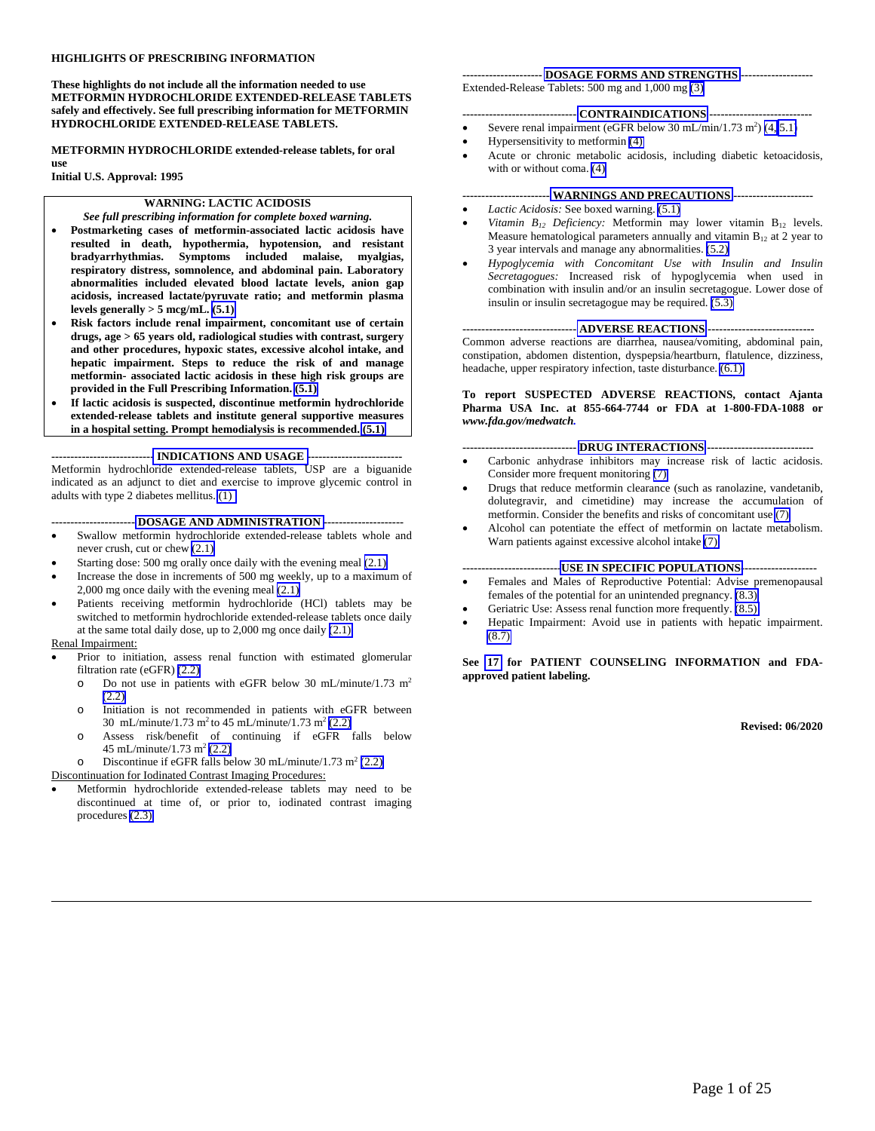#### **HIGHLIGHTS OF PRESCRIBING INFORMATION**

**These highlights do not include all the information needed to use METFORMIN HYDROCHLORIDE EXTENDED-RELEASE TABLETS safely and effectively. See full prescribing information for METFORMIN HYDROCHLORIDE EXTENDED-RELEASE TABLETS.** 

**METFORMIN HYDROCHLORIDE extended-release tablets, for oral** 

**Initial U.S. Approval: 1995**

**use** 

#### **WARNING: LACTIC ACIDOSIS**

*See full prescribing information for complete boxed warning.*

- **Postmarketing cases of metformin-associated lactic acidosis have resulted in death, hypothermia, hypotension, and resistant bradyarrhythmias. Symptoms included malaise, myalgias, respiratory distress, somnolence, and abdominal pain. Laboratory abnormalities included elevated blood lactate levels, anion gap acidosis, increased lactate/pyruvate ratio; and metformin plasma**  levels generally  $> 5$  mcg/mL,  $(5.1)$
- **Risk factors include renal impairment, concomitant use of certain drugs, age > 65 years old, radiological studies with contrast, surgery and other procedures, hypoxic states, excessive alcohol intake, and hepatic impairment. Steps to reduce the risk of and manage metformin- associated lactic acidosis in these high risk groups are provided in the Full Prescribing Information. [\(5.1\)](#page-4-0)**
- **If lactic acidosis is suspected, discontinue metformin hydrochloride extended-release tablets and institute general supportive measures in a hospital setting. Prompt hemodialysis is recommended. [\(5.1\)](#page-4-0)**

**--------------------------- [INDICATIONS AND USAGE](#page-2-0) -------------------------** Metformin hydrochloride extended-release tablets, USP are a biguanide indicated as an adjunct to diet and exercise to improve glycemic control in adults with type 2 diabetes mellitus. [\(1\)](#page-2-0)

#### **---------------------- [DOSAGE AND ADMINISTRATION](#page-2-0) ---------------------**

- Swallow metformin hydrochloride extended-release tablets whole and never crush, cut or chew [\(2.1\)](#page-2-0)
- Starting dose: 500 mg orally once daily with the evening meal  $(2.1)$
- Increase the dose in increments of 500 mg weekly, up to a maximum of 2,000 mg once daily with the evening meal [\(2.1\)](#page-2-0)
- Patients receiving metformin hydrochloride (HCl) tablets may be switched to metformin hydrochloride extended-release tablets once daily at the same total daily dose, up to 2,000 mg once daily [\(2.1\)](#page-2-0)

#### Renal Impairment:

- Prior to initiation, assess renal function with estimated glomerular filtration rate (eGFR) [\(2.2\)](#page-3-0)
	- o Do not use in patients with eGFR below 30 mL/minute/1.73 m<sup>2</sup> [\(2.2\)](#page-3-0)
	- o Initiation is not recommended in patients with eGFR between 30 mL/minute/1.73 m<sup>2</sup> to 45 mL/minute/1.73 m<sup>2</sup> [\(2.2\)](#page-3-0)
	- o Assess risk/benefit of continuing if eGFR falls below 45 mL/minute/1.73 m<sup>2</sup> [\(2.2\)](#page-3-0)
	- o Discontinue if eGFR falls below 30 mL/minute/1.73 m<sup>2</sup> [\(2.2\)](#page-3-0)

#### Discontinuation for Iodinated Contrast Imaging Procedures:

• Metformin hydrochloride extended-release tablets may need to be discontinued at time of, or prior to, iodinated contrast imaging procedures [\(2.3\)](#page-3-0)

#### **--------------------- [DOSAGE FORMS AND STRENGTHS](#page-3-0) -------------------** Extended-Release Tablets: 500 mg and 1,000 mg [\(3\)](#page-3-0)

#### **------------------------------ [CONTRAINDICATIONS](#page-3-0) ---------------------------**

- Severe renal impairment (eGFR below  $30 \text{ mL/min}/1.73 \text{ m}^2$ ) [\(4,](#page-3-0) [5.1\)](#page-4-0)
- Hypersensitivity to metformin [\(4\)](#page-3-0)
- Acute or chronic metabolic acidosis, including diabetic ketoacidosis, with or without coma. [\(4\)](#page-3-0)

#### **----------------------- [WARNINGS AND PRECAUTIONS](#page-4-0) ---------------------**

- *Lactic Acidosis:* See boxed warning. [\(5.1\)](#page-4-0)
- *Vitamin*  $B_{12}$  *Deficiency:* Metformin may lower vitamin  $B_{12}$  levels. Measure hematological parameters annually and vitamin  $B_{12}$  at 2 year to 3 year intervals and manage any abnormalities. [\(5.2\)](#page-6-0)
- *Hypoglycemia with Concomitant Use with Insulin and Insulin Secretagogues:* Increased risk of hypoglycemia when used in combination with insulin and/or an insulin secretagogue. Lower dose of insulin or insulin secretagogue may be required. [\(5.3\)](#page-6-0)

#### **------------------------------ [ADVERSE REACTIONS](#page-6-0) ----------------------------**

Common adverse reactions are diarrhea, nausea/vomiting, abdominal pain, constipation, abdomen distention, dyspepsia/heartburn, flatulence, dizziness, headache, upper respiratory infection, taste disturbance. [\(6.1\)](#page-6-0)

#### **To report SUSPECTED ADVERSE REACTIONS, contact Ajanta Pharma USA Inc. at 855-664-7744 or FDA at 1-800-FDA-1088 or**  *www.fda.gov/medwatch.*

#### **------------------------------ [DRUG INTERACTIONS](#page-7-0) ----------------------------**

- Carbonic anhydrase inhibitors may increase risk of lactic acidosis. Consider more frequent monitoring [\(7\)](#page-7-0)
- Drugs that reduce metformin clearance (such as ranolazine, vandetanib, dolutegravir, and cimetidine) may increase the accumulation of metformin. Consider the benefits and risks of concomitant use [\(7\)](#page-7-0)
- Alcohol can potentiate the effect of metformin on lactate metabolism. Warn patients against excessive alcohol intake [\(7\)](#page-7-0)

#### **-------------------------[-USE IN SPECIFIC POPULATIONS-](#page-8-0)-------------------**

- Females and Males of Reproductive Potential: Advise premenopausal females of the potential for an unintended pregnancy. [\(8.3\)](#page-10-0)
- Geriatric Use: Assess renal function more frequently.  $(8.5)$
- Hepatic Impairment: Avoid use in patients with hepatic impairment. [\(8.7\)](#page-10-0)

**See [17](#page-19-0) for PATIENT COUNSELING INFORMATION and FDAapproved patient labeling.**

**Revised: 06/2020**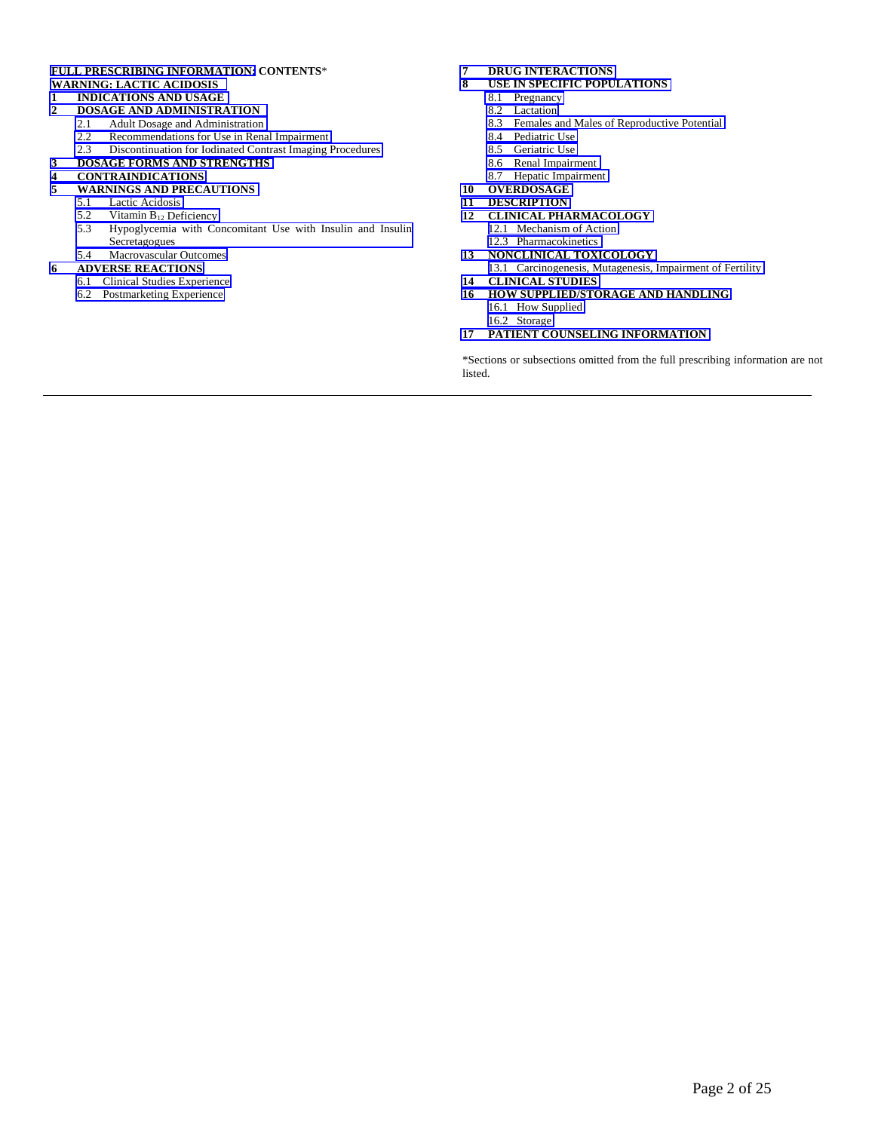#### **[FULL PRESCRIBING INFORMATION:](#page-2-0) CONTENTS**\* **[WARNING: LACTIC ACIDOSIS](#page-2-0)**

#### **1 [INDICATIONS AND USAGE](#page-2-0)**

- **2 [DOSAGE AND ADMINISTRATION](#page-2-0)**<br>2.1 **Adult Dosage and Administration** 
	-
	- 2.1 [Adult Dosage and Administration](#page-2-0)<br>2.2 Recommendations for Use in Rena [Recommendations for Use in Renal Impairment](#page-3-0)
	- 2.3 [Discontinuation for Iodinated Contrast Imaging Procedures](#page-3-0)
- **3 [DOSAGE FORMS AND STRENGTHS](#page-3-0)**

#### **4 [CONTRAINDICATIONS](#page-3-0)**

- **5 [WARNINGS AND PRECAUTIONS](#page-4-0)**
	- 5.1 [Lactic Acidosis](#page-4-0)<br>5.2 Vitamin  $B_{12}$  De
	- Vitamin B<sub>12</sub> Deficiency
	- 5.3 [Hypoglycemia with Concomitant Use with Insulin and Insulin](#page-6-0)  Secretagogues
	- 5.4 [Macrovascular Outcomes](#page-6-0)

#### **6 [ADVERSE REACTIONS](#page-6-0)**

- 6.1 [Clinical Studies Experience](#page-6-0)
- 6.2 [Postmarketing Experience](#page-7-0)

# **7 [DRUG INTERACTIONS](#page-7-0)**

- **8 [USE IN SPECIFIC POPULATIONS](#page-8-0)**
	- 8.1 [Pregnancy](#page-8-0)
	- 8.2 [Lactation](#page-9-0)
	- 8.3 [Females and Males of Reproductive Potential](#page-10-0)
	- 8.4 [Pediatric Use](#page-10-0)
	- 8.5 [Geriatric Use](#page-10-0)
	- 8.6 [Renal Impairment](#page-10-0)
	- 8.7 [Hepatic Impairment](#page-10-0)
- **10 [OVERDOSAGE](#page-11-0)**
- **11 [DESCRIPTION](#page-11-0)**
- **12 [CLINICAL PHARMACOLOGY](#page-11-0)**
	- 12.1 [Mechanism of Action](#page-11-0)
	- [12.3 Pharmacokinetics](#page-11-0)
- **13 [NONCLINICAL TOXICOLOGY](#page-16-0)**
- 13.1 [Carcinogenesis, Mutagenesis, Impairment of Fertility](#page-16-0) **14 [CLINICAL STUDIES](#page-16-0)**
- **16 [HOW SUPPLIED/STORAGE AND HANDLING](#page-18-0)**
- 16.1 [How Supplied](#page-18-0) [16.2 Storage](#page-18-0)
- **17 [PATIENT COUNSELING INFORMATION](#page-19-0)**

\*Sections or subsections omitted from the full prescribing information are not listed.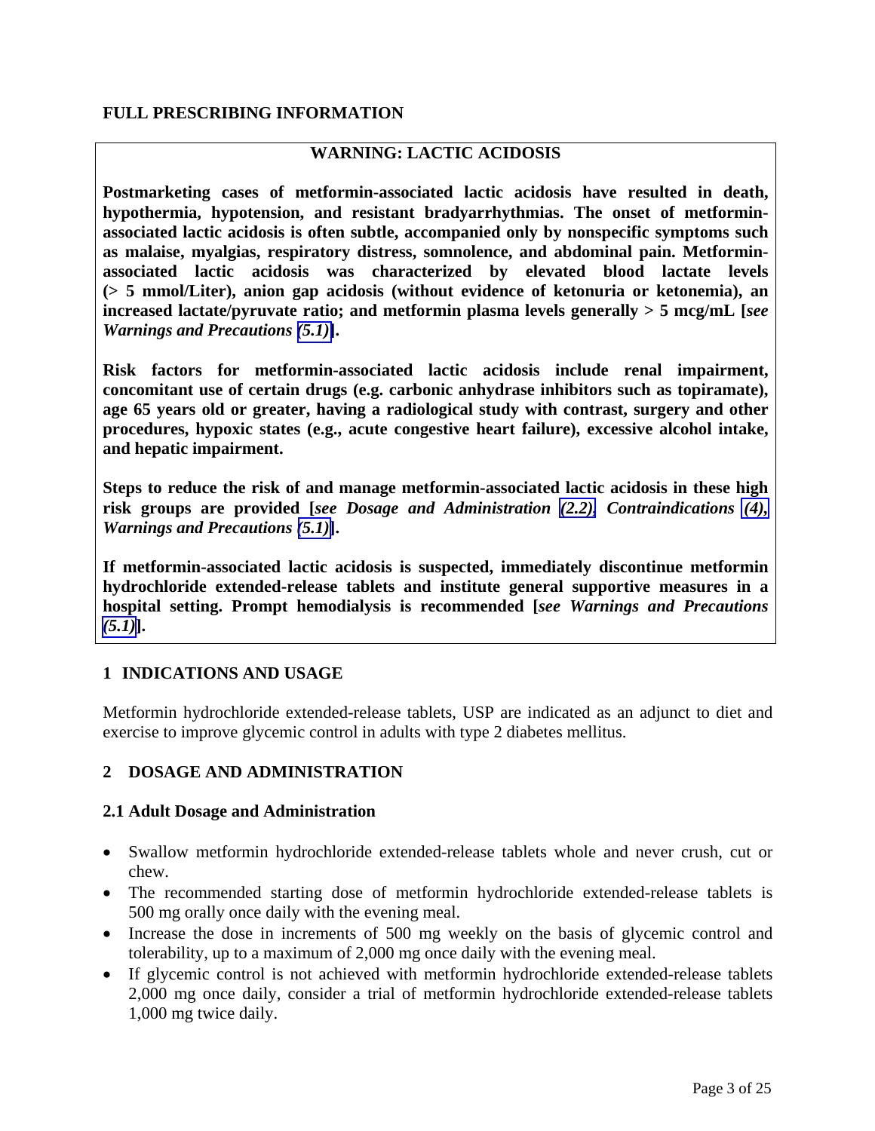## <span id="page-2-0"></span>**FULL PRESCRIBING INFORMATION**

## **WARNING: LACTIC ACIDOSIS**

**Postmarketing cases of metformin-associated lactic acidosis have resulted in death, hypothermia, hypotension, and resistant bradyarrhythmias. The onset of metforminassociated lactic acidosis is often subtle, accompanied only by nonspecific symptoms such as malaise, myalgias, respiratory distress, somnolence, and abdominal pain. Metforminassociated lactic acidosis was characterized by elevated blood lactate levels (> 5 mmol/Liter), anion gap acidosis (without evidence of ketonuria or ketonemia), an increased lactate/pyruvate ratio; and metformin plasma levels generally > 5 mcg/mL [***see Warnings and Precautions [\(5.1\)](#page-4-0)***].**

**Risk factors for metformin-associated lactic acidosis include renal impairment, concomitant use of certain drugs (e.g. carbonic anhydrase inhibitors such as topiramate), age 65 years old or greater, having a radiological study with contrast, surgery and other procedures, hypoxic states (e.g., acute congestive heart failure), excessive alcohol intake, and hepatic impairment.**

**Steps to reduce the risk of and manage metformin-associated lactic acidosis in these high risk groups are provided [***see Dosage and Administration [\(2.2\),](#page-3-0) Contraindications [\(4\),](#page-3-0)  Warnings and Precautions [\(5.1\)](#page-4-0)***].**

**If metformin-associated lactic acidosis is suspected, immediately discontinue metformin hydrochloride extended-release tablets and institute general supportive measures in a hospital setting. Prompt hemodialysis is recommended [***see Warnings and Precautions [\(5.1\)](#page-4-0)***].**

### **1 INDICATIONS AND USAGE**

Metformin hydrochloride extended-release tablets, USP are indicated as an adjunct to diet and exercise to improve glycemic control in adults with type 2 diabetes mellitus.

### **2 DOSAGE AND ADMINISTRATION**

#### **2.1 Adult Dosage and Administration**

- Swallow metformin hydrochloride extended-release tablets whole and never crush, cut or chew.
- The recommended starting dose of metformin hydrochloride extended-release tablets is 500 mg orally once daily with the evening meal.
- Increase the dose in increments of 500 mg weekly on the basis of glycemic control and tolerability, up to a maximum of 2,000 mg once daily with the evening meal.
- If glycemic control is not achieved with metformin hydrochloride extended-release tablets 2,000 mg once daily, consider a trial of metformin hydrochloride extended-release tablets 1,000 mg twice daily.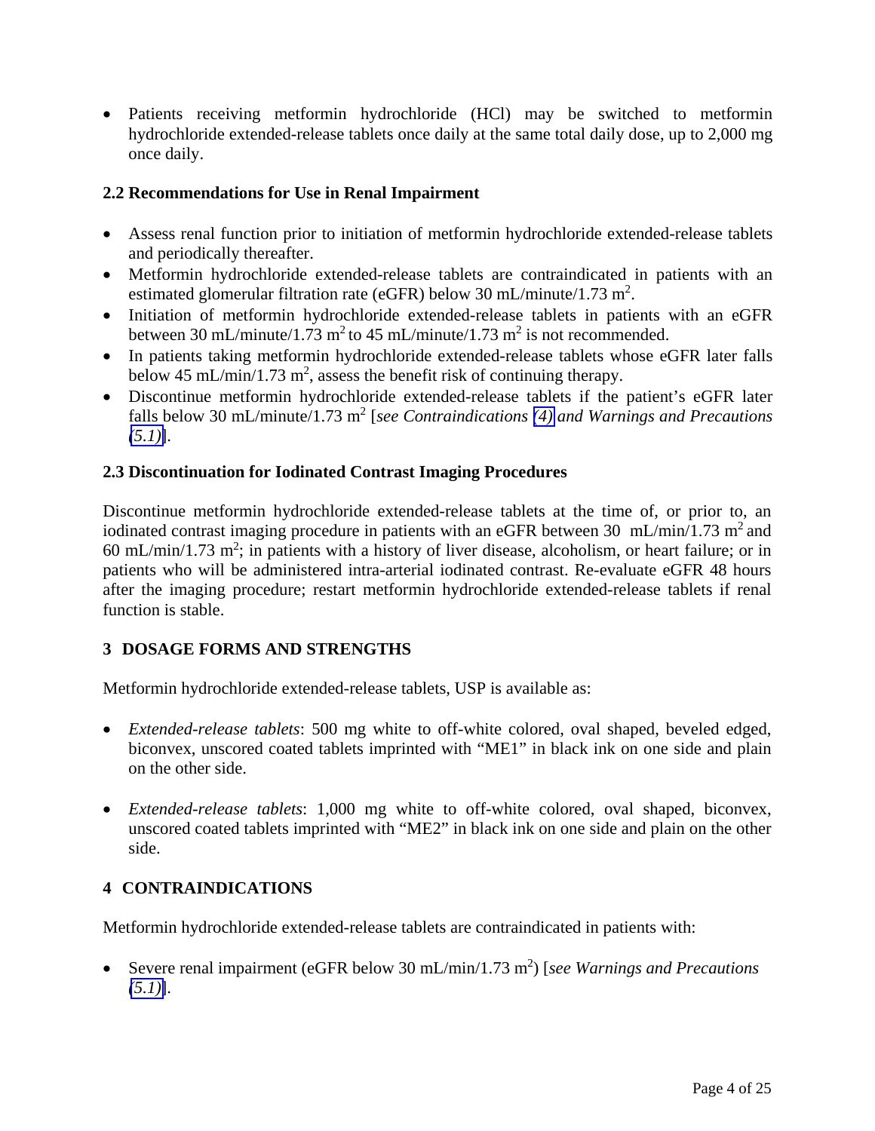<span id="page-3-0"></span>• Patients receiving metformin hydrochloride (HCl) may be switched to metformin hydrochloride extended-release tablets once daily at the same total daily dose, up to 2,000 mg once daily.

## **2.2 Recommendations for Use in Renal Impairment**

- Assess renal function prior to initiation of metformin hydrochloride extended-release tablets and periodically thereafter.
- Metformin hydrochloride extended-release tablets are contraindicated in patients with an estimated glomerular filtration rate (eGFR) below 30 mL/minute/1.73 m<sup>2</sup>.
- Initiation of metformin hydrochloride extended-release tablets in patients with an eGFR between 30 mL/minute/1.73 m<sup>2</sup> to 45 mL/minute/1.73 m<sup>2</sup> is not recommended.
- In patients taking metformin hydrochloride extended-release tablets whose eGFR later falls below 45 mL/min/1.73 m<sup>2</sup>, assess the benefit risk of continuing therapy.
- Discontinue metformin hydrochloride extended-release tablets if the patient's eGFR later falls below 30 mL/minute/1.73 m<sup>2</sup> [*see Contraindications [\(4\)](#page-3-0) and Warnings and Precautions [\(5.1\)](#page-4-0)*].

## **2.3 Discontinuation for Iodinated Contrast Imaging Procedures**

Discontinue metformin hydrochloride extended-release tablets at the time of, or prior to, an iodinated contrast imaging procedure in patients with an eGFR between 30 mL/min/1.73 m<sup>2</sup> and 60 mL/min/1.73 m<sup>2</sup>; in patients with a history of liver disease, alcoholism, or heart failure; or in patients who will be administered intra-arterial iodinated contrast. Re-evaluate eGFR 48 hours after the imaging procedure; restart metformin hydrochloride extended-release tablets if renal function is stable.

## **3 DOSAGE FORMS AND STRENGTHS**

Metformin hydrochloride extended-release tablets, USP is available as:

- *Extended-release tablets*: 500 mg white to off-white colored, oval shaped, beveled edged, biconvex, unscored coated tablets imprinted with "ME1" in black ink on one side and plain on the other side.
- *Extended-release tablets*: 1,000 mg white to off-white colored, oval shaped, biconvex, unscored coated tablets imprinted with "ME2" in black ink on one side and plain on the other side.

## **4 CONTRAINDICATIONS**

Metformin hydrochloride extended-release tablets are contraindicated in patients with:

• Severe renal impairment (eGFR below 30 mL/min/1.73 m<sup>2</sup>) [see Warnings and Precautions *[\(5.1\)](#page-4-0)*].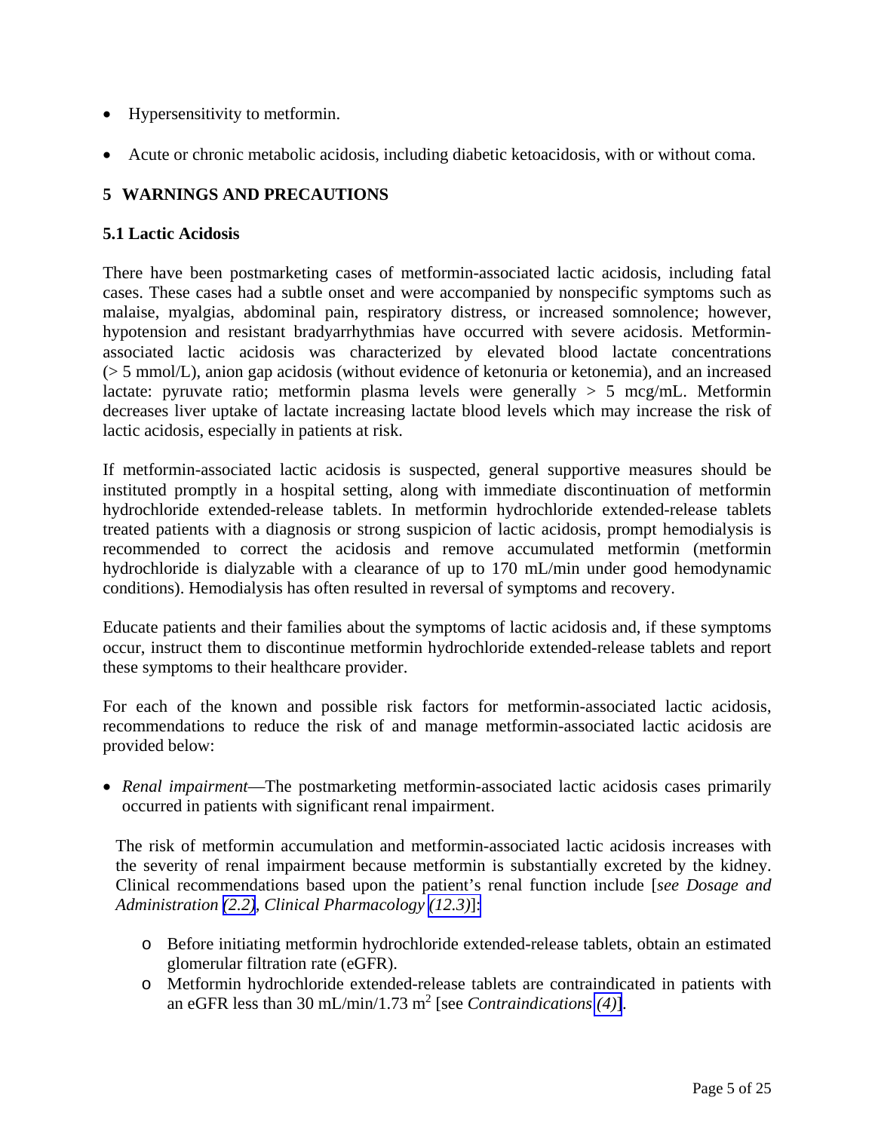- <span id="page-4-1"></span><span id="page-4-0"></span>• Hypersensitivity to metformin.
- Acute or chronic metabolic acidosis, including diabetic ketoacidosis, with or without coma.

## **5 WARNINGS AND PRECAUTIONS**

## **5.1 Lactic Acidosis**

There have been postmarketing cases of metformin-associated lactic acidosis, including fatal cases. These cases had a subtle onset and were accompanied by nonspecific symptoms such as malaise, myalgias, abdominal pain, respiratory distress, or increased somnolence; however, hypotension and resistant bradyarrhythmias have occurred with severe acidosis. Metforminassociated lactic acidosis was characterized by elevated blood lactate concentrations (> 5 mmol/L), anion gap acidosis (without evidence of ketonuria or ketonemia), and an increased lactate: pyruvate ratio; metformin plasma levels were generally  $> 5$  mcg/mL. Metformin decreases liver uptake of lactate increasing lactate blood levels which may increase the risk of lactic acidosis, especially in patients at risk.

If metformin-associated lactic acidosis is suspected, general supportive measures should be instituted promptly in a hospital setting, along with immediate discontinuation of metformin hydrochloride extended-release tablets. In metformin hydrochloride extended-release tablets treated patients with a diagnosis or strong suspicion of lactic acidosis, prompt hemodialysis is recommended to correct the acidosis and remove accumulated metformin (metformin hydrochloride is dialyzable with a clearance of up to 170 mL/min under good hemodynamic conditions). Hemodialysis has often resulted in reversal of symptoms and recovery.

Educate patients and their families about the symptoms of lactic acidosis and, if these symptoms occur, instruct them to discontinue metformin hydrochloride extended-release tablets and report these symptoms to their healthcare provider.

For each of the known and possible risk factors for metformin-associated lactic acidosis, recommendations to reduce the risk of and manage metformin-associated lactic acidosis are provided below:

• *Renal impairment*—The postmarketing metformin-associated lactic acidosis cases primarily occurred in patients with significant renal impairment.

The risk of metformin accumulation and metformin-associated lactic acidosis increases with the severity of renal impairment because metformin is substantially excreted by the kidney. Clinical recommendations based upon the patient's renal function include [*see Dosage and Administration [\(2.2\)](#page-3-0), Clinical Pharmacology [\(12.3\)](#page-12-0)*]:

- o Before initiating metformin hydrochloride extended-release tablets, obtain an estimated glomerular filtration rate (eGFR).
- o Metformin hydrochloride extended-release tablets are contraindicated in patients with an eGFR less than 30 mL/min/1.73 m2 [see *Contraindications [\(4\)](#page-3-0)*].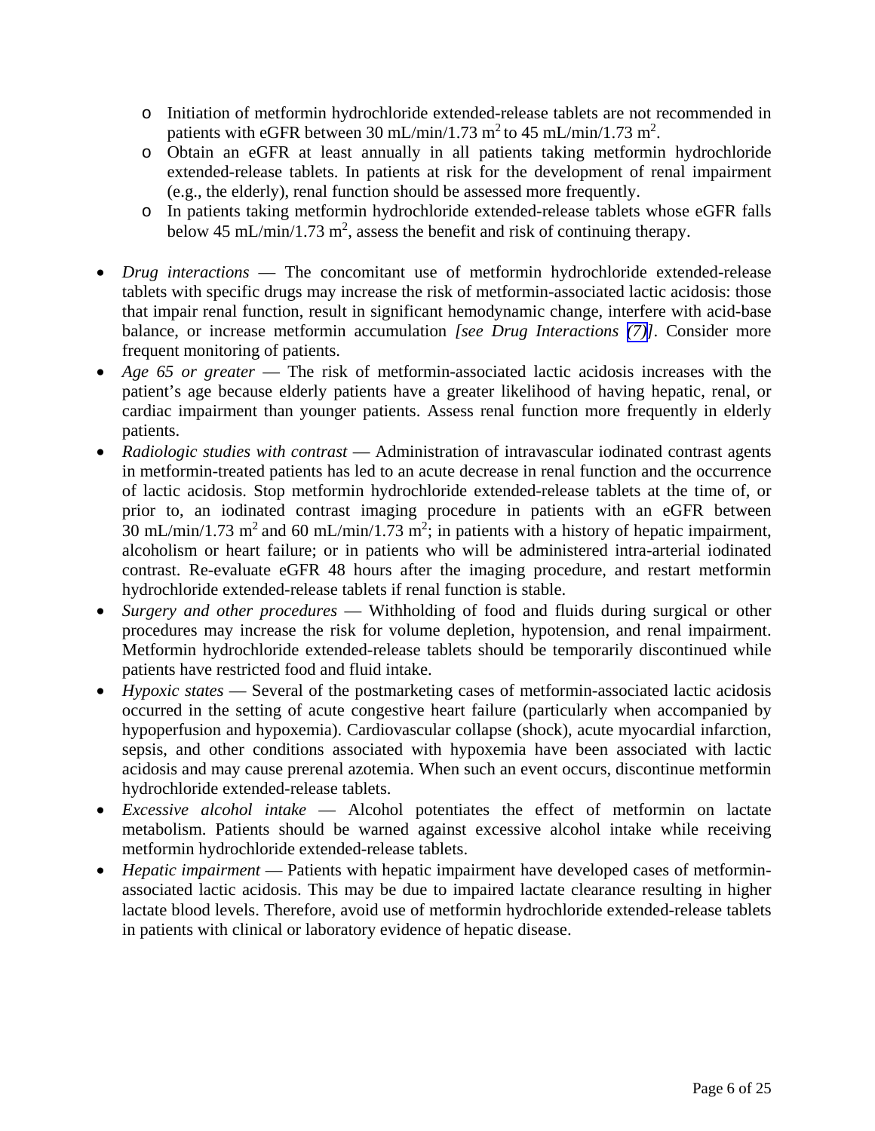- o Initiation of metformin hydrochloride extended-release tablets are not recommended in patients with eGFR between 30 mL/min/1.73 m<sup>2</sup> to 45 mL/min/1.73 m<sup>2</sup>.
- o Obtain an eGFR at least annually in all patients taking metformin hydrochloride extended-release tablets. In patients at risk for the development of renal impairment (e.g., the elderly), renal function should be assessed more frequently.
- o In patients taking metformin hydrochloride extended-release tablets whose eGFR falls below 45 mL/min/1.73 m<sup>2</sup>, assess the benefit and risk of continuing therapy.
- *Drug interactions* The concomitant use of metformin hydrochloride extended-release tablets with specific drugs may increase the risk of metformin-associated lactic acidosis: those that impair renal function, result in significant hemodynamic change, interfere with acid-base balance, or increase metformin accumulation *[see Drug Interactions [\(7\)\]](#page-7-0)*. Consider more frequent monitoring of patients.
- *Age 65 or greater* The risk of metformin-associated lactic acidosis increases with the patient's age because elderly patients have a greater likelihood of having hepatic, renal, or cardiac impairment than younger patients. Assess renal function more frequently in elderly patients.
- *Radiologic studies with contrast* Administration of intravascular iodinated contrast agents in metformin-treated patients has led to an acute decrease in renal function and the occurrence of lactic acidosis. Stop metformin hydrochloride extended-release tablets at the time of, or prior to, an iodinated contrast imaging procedure in patients with an eGFR between 30 mL/min/1.73 m<sup>2</sup> and 60 mL/min/1.73 m<sup>2</sup>; in patients with a history of hepatic impairment, alcoholism or heart failure; or in patients who will be administered intra-arterial iodinated contrast. Re-evaluate eGFR 48 hours after the imaging procedure, and restart metformin hydrochloride extended-release tablets if renal function is stable.
- *Surgery and other procedures* Withholding of food and fluids during surgical or other procedures may increase the risk for volume depletion, hypotension, and renal impairment. Metformin hydrochloride extended-release tablets should be temporarily discontinued while patients have restricted food and fluid intake.
- *Hypoxic states* Several of the postmarketing cases of metformin-associated lactic acidosis occurred in the setting of acute congestive heart failure (particularly when accompanied by hypoperfusion and hypoxemia). Cardiovascular collapse (shock), acute myocardial infarction, sepsis, and other conditions associated with hypoxemia have been associated with lactic acidosis and may cause prerenal azotemia. When such an event occurs, discontinue metformin hydrochloride extended-release tablets.
- *Excessive alcohol intake*  Alcohol potentiates the effect of metformin on lactate metabolism. Patients should be warned against excessive alcohol intake while receiving metformin hydrochloride extended-release tablets.
- *Hepatic impairment*  Patients with hepatic impairment have developed cases of metforminassociated lactic acidosis. This may be due to impaired lactate clearance resulting in higher lactate blood levels. Therefore, avoid use of metformin hydrochloride extended-release tablets in patients with clinical or laboratory evidence of hepatic disease.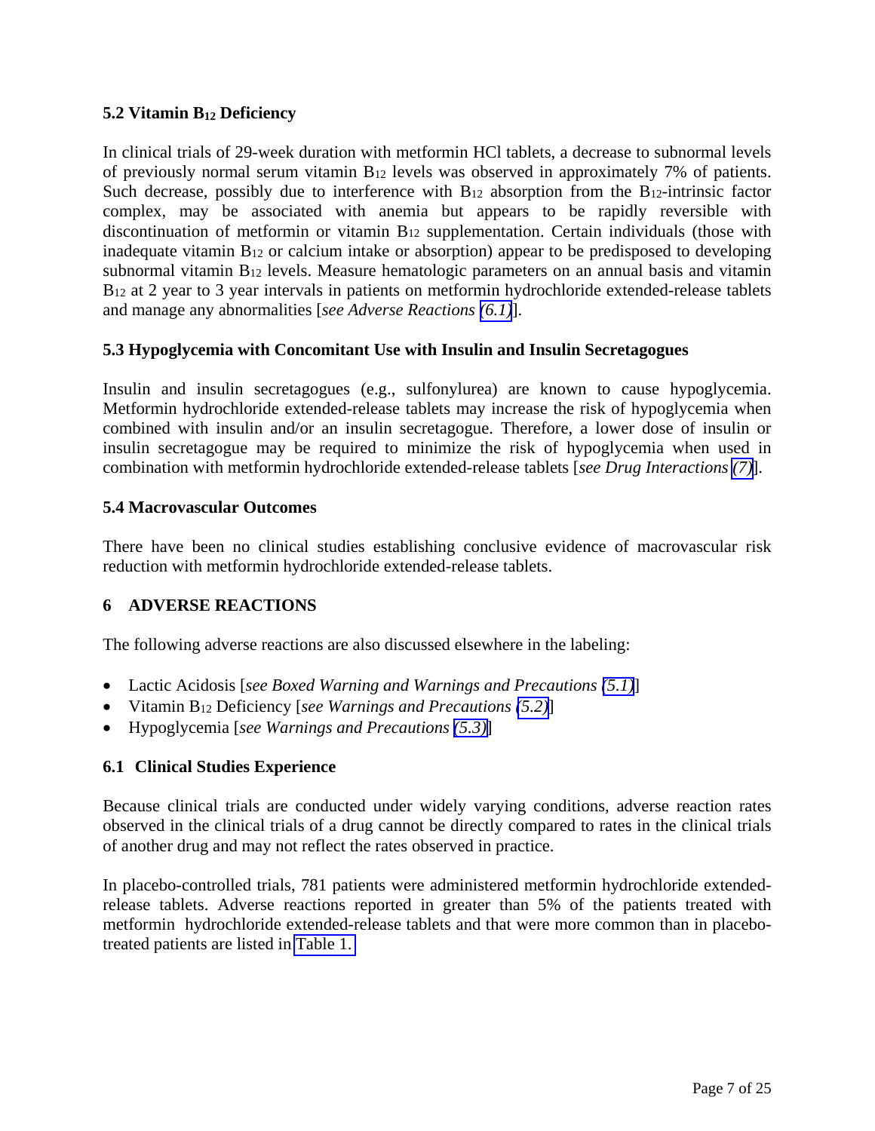## <span id="page-6-0"></span>**5.2 Vitamin B12 Deficiency**

In clinical trials of 29-week duration with metformin HCl tablets, a decrease to subnormal levels of previously normal serum vitamin B12 levels was observed in approximately 7% of patients. Such decrease, possibly due to interference with  $B_{12}$  absorption from the  $B_{12}$ -intrinsic factor complex, may be associated with anemia but appears to be rapidly reversible with discontinuation of metformin or vitamin B12 supplementation. Certain individuals (those with inadequate vitamin B12 or calcium intake or absorption) appear to be predisposed to developing subnormal vitamin B12 levels. Measure hematologic parameters on an annual basis and vitamin B<sub>12</sub> at 2 year to 3 year intervals in patients on metformin hydrochloride extended-release tablets and manage any abnormalities [*see Adverse Reactions [\(6.1\)](#page-6-0)*].

## **5.3 Hypoglycemia with Concomitant Use with Insulin and Insulin Secretagogues**

Insulin and insulin secretagogues (e.g., sulfonylurea) are known to cause hypoglycemia. Metformin hydrochloride extended-release tablets may increase the risk of hypoglycemia when combined with insulin and/or an insulin secretagogue. Therefore, a lower dose of insulin or insulin secretagogue may be required to minimize the risk of hypoglycemia when used in combination with metformin hydrochloride extended-release tablets [*see Drug Interactions [\(7\)](#page-7-0)*].

## **5.4 Macrovascular Outcomes**

There have been no clinical studies establishing conclusive evidence of macrovascular risk reduction with metformin hydrochloride extended-release tablets.

## **6 ADVERSE REACTIONS**

The following adverse reactions are also discussed elsewhere in the labeling:

- Lactic Acidosis [*see Boxed Warning and Warnings and Precautions [\(5.1\)](#page-4-0)*]
- Vitamin B12 Deficiency [*see Warnings and Precautions [\(5.2\)](#page-6-0)*]
- Hypoglycemia [*see Warnings and Precautions [\(5.3\)](#page-6-0)*]

## **6.1 Clinical Studies Experience**

Because clinical trials are conducted under widely varying conditions, adverse reaction rates observed in the clinical trials of a drug cannot be directly compared to rates in the clinical trials of another drug and may not reflect the rates observed in practice.

In placebo-controlled trials, 781 patients were administered metformin hydrochloride extendedrelease tablets. Adverse reactions reported in greater than 5% of the patients treated with metformin hydrochloride extended-release tablets and that were more common than in placebotreated patients are listed in [Table 1.](#page-7-1)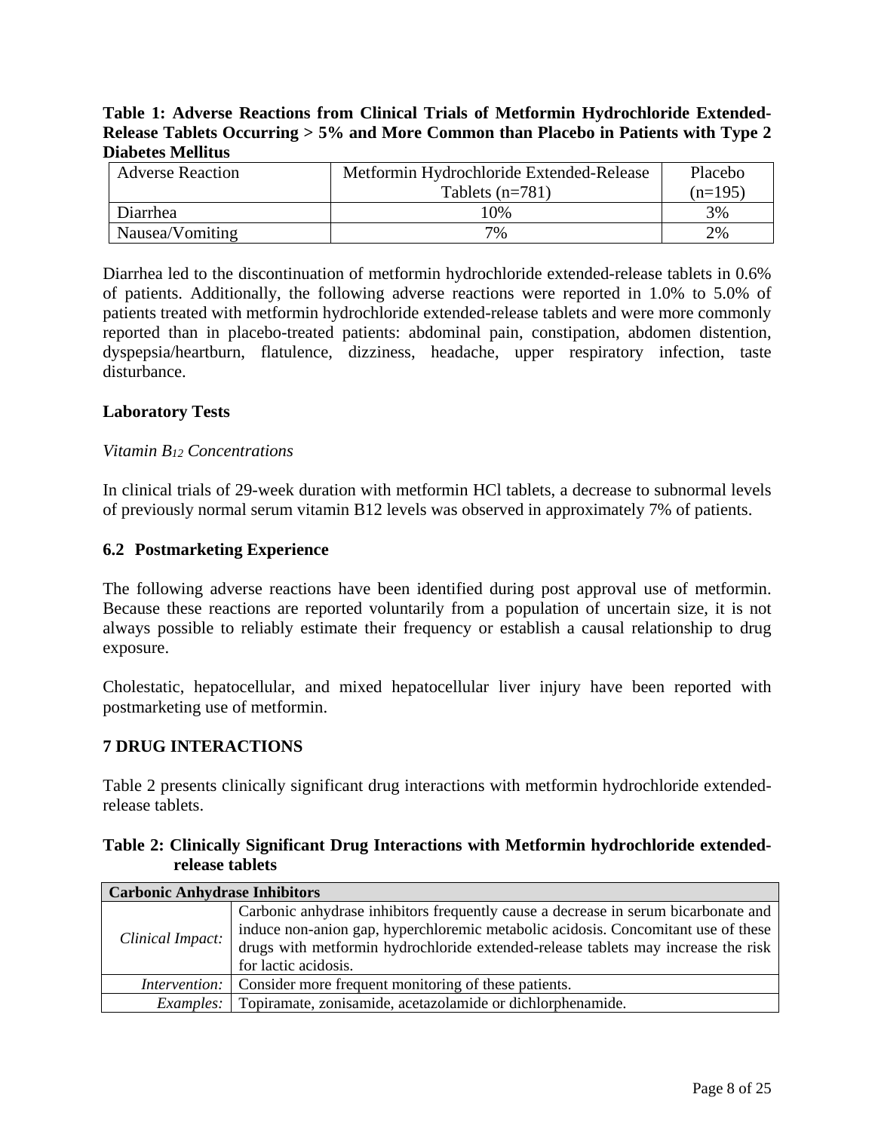## <span id="page-7-1"></span><span id="page-7-0"></span>**Table 1: Adverse Reactions from Clinical Trials of Metformin Hydrochloride Extended-Release Tablets Occurring > 5% and More Common than Placebo in Patients with Type 2 Diabetes Mellitus**

| <b>Adverse Reaction</b> | Metformin Hydrochloride Extended-Release | Placebo   |
|-------------------------|------------------------------------------|-----------|
|                         | Tablets $(n=781)$                        | $(n=195)$ |
| Diarrhea                | 10%                                      | 3%        |
| Nausea/Vomiting         | 7%                                       | 2%        |

Diarrhea led to the discontinuation of metformin hydrochloride extended-release tablets in 0.6% of patients. Additionally, the following adverse reactions were reported in 1.0% to 5.0% of patients treated with metformin hydrochloride extended-release tablets and were more commonly reported than in placebo-treated patients: abdominal pain, constipation, abdomen distention, dyspepsia/heartburn, flatulence, dizziness, headache, upper respiratory infection, taste disturbance.

## **Laboratory Tests**

### *Vitamin B12 Concentrations*

In clinical trials of 29-week duration with metformin HCl tablets, a decrease to subnormal levels of previously normal serum vitamin B12 levels was observed in approximately 7% of patients.

## **6.2 Postmarketing Experience**

The following adverse reactions have been identified during post approval use of metformin. Because these reactions are reported voluntarily from a population of uncertain size, it is not always possible to reliably estimate their frequency or establish a causal relationship to drug exposure.

Cholestatic, hepatocellular, and mixed hepatocellular liver injury have been reported with postmarketing use of metformin.

## **7 DRUG INTERACTIONS**

Table 2 presents clinically significant drug interactions with metformin hydrochloride extendedrelease tablets.

## **Table 2: Clinically Significant Drug Interactions with Metformin hydrochloride extendedrelease tablets**

| <b>Carbonic Anhydrase Inhibitors</b> |                                                                                                                                                                                                                                                                                      |
|--------------------------------------|--------------------------------------------------------------------------------------------------------------------------------------------------------------------------------------------------------------------------------------------------------------------------------------|
| Clinical Impact:                     | Carbonic anhydrase inhibitors frequently cause a decrease in serum bicarbonate and<br>induce non-anion gap, hyperchloremic metabolic acidosis. Concomitant use of these<br>drugs with metformin hydrochloride extended-release tablets may increase the risk<br>for lactic acidosis. |
|                                      | <i>Intervention:</i> Consider more frequent monitoring of these patients.                                                                                                                                                                                                            |
|                                      | <i>Examples:</i> Topiramate, zonisamide, acetazolamide or dichlorphenamide.                                                                                                                                                                                                          |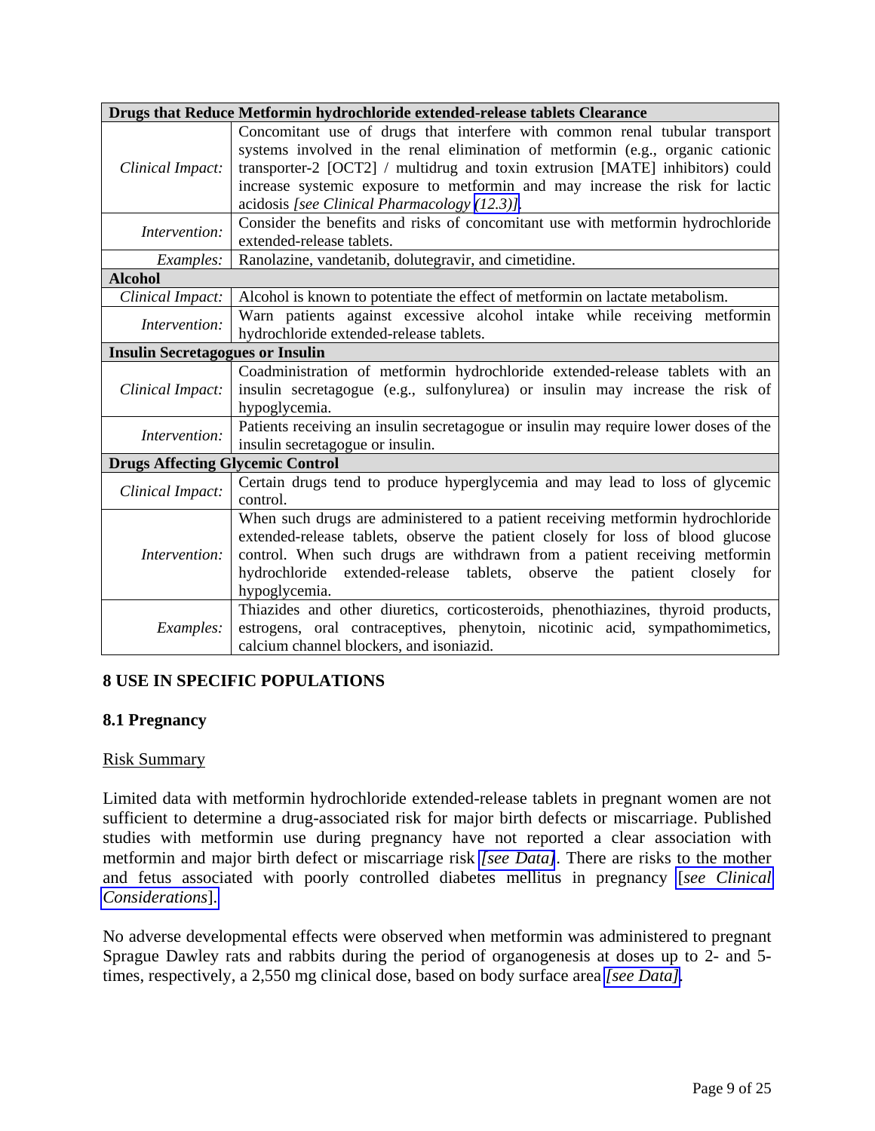<span id="page-8-0"></span>

|                                         | Drugs that Reduce Metformin hydrochloride extended-release tablets Clearance         |  |  |  |
|-----------------------------------------|--------------------------------------------------------------------------------------|--|--|--|
|                                         | Concomitant use of drugs that interfere with common renal tubular transport          |  |  |  |
|                                         | systems involved in the renal elimination of metformin (e.g., organic cationic       |  |  |  |
| Clinical Impact:                        | transporter-2 [OCT2] / multidrug and toxin extrusion [MATE] inhibitors) could        |  |  |  |
|                                         | increase systemic exposure to metformin and may increase the risk for lactic         |  |  |  |
|                                         | acidosis [see Clinical Pharmacology (12.3)].                                         |  |  |  |
| Intervention:                           | Consider the benefits and risks of concomitant use with metformin hydrochloride      |  |  |  |
|                                         | extended-release tablets.                                                            |  |  |  |
| Examples:                               | Ranolazine, vandetanib, dolutegravir, and cimetidine.                                |  |  |  |
| <b>Alcohol</b>                          |                                                                                      |  |  |  |
| Clinical Impact:                        | Alcohol is known to potentiate the effect of metformin on lactate metabolism.        |  |  |  |
| Intervention:                           | Warn patients against excessive alcohol intake while receiving metformin             |  |  |  |
|                                         | hydrochloride extended-release tablets.                                              |  |  |  |
| <b>Insulin Secretagogues or Insulin</b> |                                                                                      |  |  |  |
|                                         | Coadministration of metformin hydrochloride extended-release tablets with an         |  |  |  |
| Clinical Impact:                        | insulin secretagogue (e.g., sulfonylurea) or insulin may increase the risk of        |  |  |  |
|                                         | hypoglycemia.                                                                        |  |  |  |
| Intervention:                           | Patients receiving an insulin secretagogue or insulin may require lower doses of the |  |  |  |
|                                         | insulin secretagogue or insulin.                                                     |  |  |  |
| <b>Drugs Affecting Glycemic Control</b> |                                                                                      |  |  |  |
| Clinical Impact:                        | Certain drugs tend to produce hyperglycemia and may lead to loss of glycemic         |  |  |  |
|                                         | control.                                                                             |  |  |  |
|                                         | When such drugs are administered to a patient receiving metformin hydrochloride      |  |  |  |
|                                         | extended-release tablets, observe the patient closely for loss of blood glucose      |  |  |  |
| Intervention:                           | control. When such drugs are withdrawn from a patient receiving metformin            |  |  |  |
|                                         | hydrochloride extended-release tablets, observe the patient closely for              |  |  |  |
|                                         | hypoglycemia.                                                                        |  |  |  |
|                                         | Thiazides and other diuretics, corticosteroids, phenothiazines, thyroid products,    |  |  |  |
| Examples:                               | estrogens, oral contraceptives, phenytoin, nicotinic acid, sympathomimetics,         |  |  |  |
|                                         | calcium channel blockers, and isoniazid.                                             |  |  |  |

## **8 USE IN SPECIFIC POPULATIONS**

### **8.1 Pregnancy**

### Risk Summary

Limited data with metformin hydrochloride extended-release tablets in pregnant women are not sufficient to determine a drug-associated risk for major birth defects or miscarriage. Published studies with metformin use during pregnancy have not reported a clear association with metformin and major birth defect or miscarriage risk *[\[see Data\]](#page-9-1)*. There are risks to the mother and fetus associated with poorly controlled diabetes mellitus in pregnancy [*[see Clinical](#page-9-2)  [Considerations](#page-9-2)*].

No adverse developmental effects were observed when metformin was administered to pregnant Sprague Dawley rats and rabbits during the period of organogenesis at doses up to 2- and 5 times, respectively, a 2,550 mg clinical dose, based on body surface area *[\[see Data\].](#page-9-1)*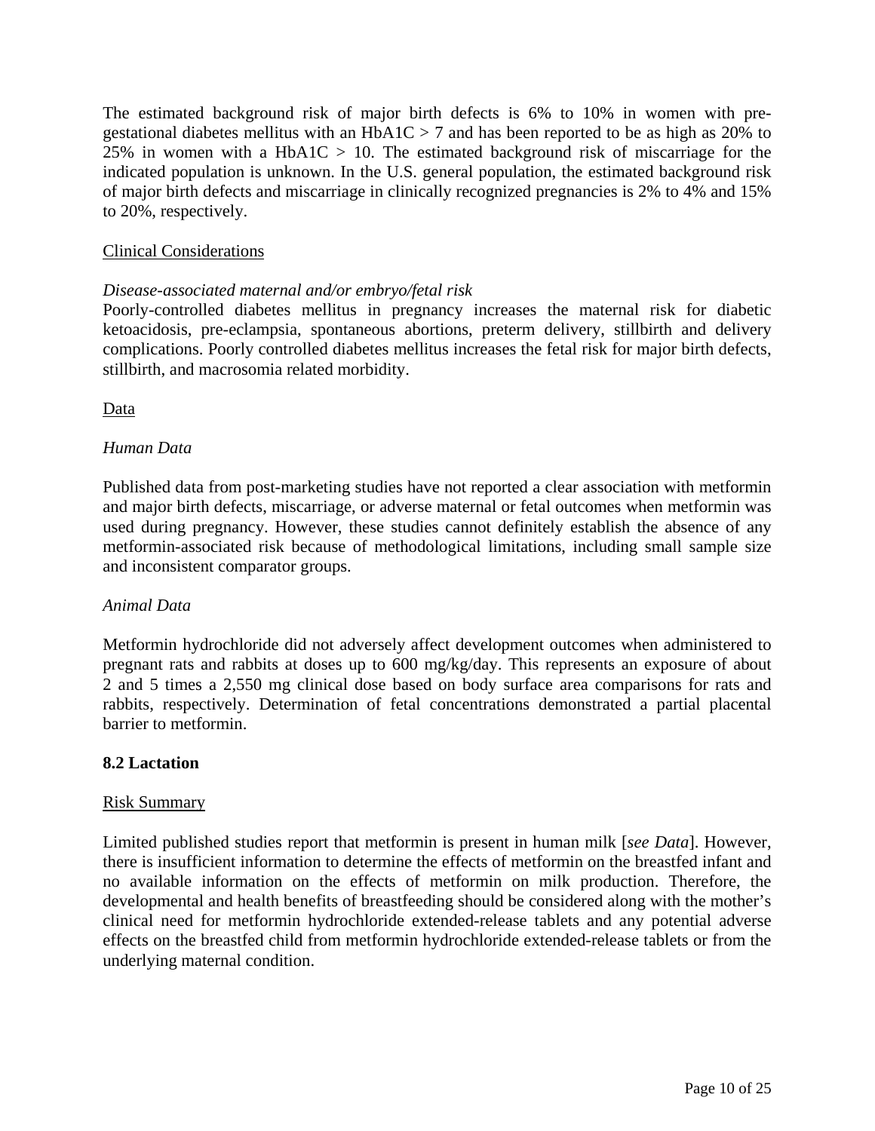<span id="page-9-2"></span><span id="page-9-1"></span><span id="page-9-0"></span>The estimated background risk of major birth defects is 6% to 10% in women with pregestational diabetes mellitus with an  $HbA1C > 7$  and has been reported to be as high as 20% to 25% in women with a HbA1C  $> 10$ . The estimated background risk of miscarriage for the indicated population is unknown. In the U.S. general population, the estimated background risk of major birth defects and miscarriage in clinically recognized pregnancies is 2% to 4% and 15% to 20%, respectively.

## Clinical Considerations

## *Disease-associated maternal and/or embryo/fetal risk*

Poorly-controlled diabetes mellitus in pregnancy increases the maternal risk for diabetic ketoacidosis, pre-eclampsia, spontaneous abortions, preterm delivery, stillbirth and delivery complications. Poorly controlled diabetes mellitus increases the fetal risk for major birth defects, stillbirth, and macrosomia related morbidity.

Data

## *Human Data*

Published data from post-marketing studies have not reported a clear association with metformin and major birth defects, miscarriage, or adverse maternal or fetal outcomes when metformin was used during pregnancy. However, these studies cannot definitely establish the absence of any metformin-associated risk because of methodological limitations, including small sample size and inconsistent comparator groups.

### *Animal Data*

Metformin hydrochloride did not adversely affect development outcomes when administered to pregnant rats and rabbits at doses up to 600 mg/kg/day. This represents an exposure of about 2 and 5 times a 2,550 mg clinical dose based on body surface area comparisons for rats and rabbits, respectively. Determination of fetal concentrations demonstrated a partial placental barrier to metformin.

### **8.2 Lactation**

### Risk Summary

Limited published studies report that metformin is present in human milk [*see Data*]. However, there is insufficient information to determine the effects of metformin on the breastfed infant and no available information on the effects of metformin on milk production. Therefore, the developmental and health benefits of breastfeeding should be considered along with the mother's clinical need for metformin hydrochloride extended-release tablets and any potential adverse effects on the breastfed child from metformin hydrochloride extended-release tablets or from the underlying maternal condition.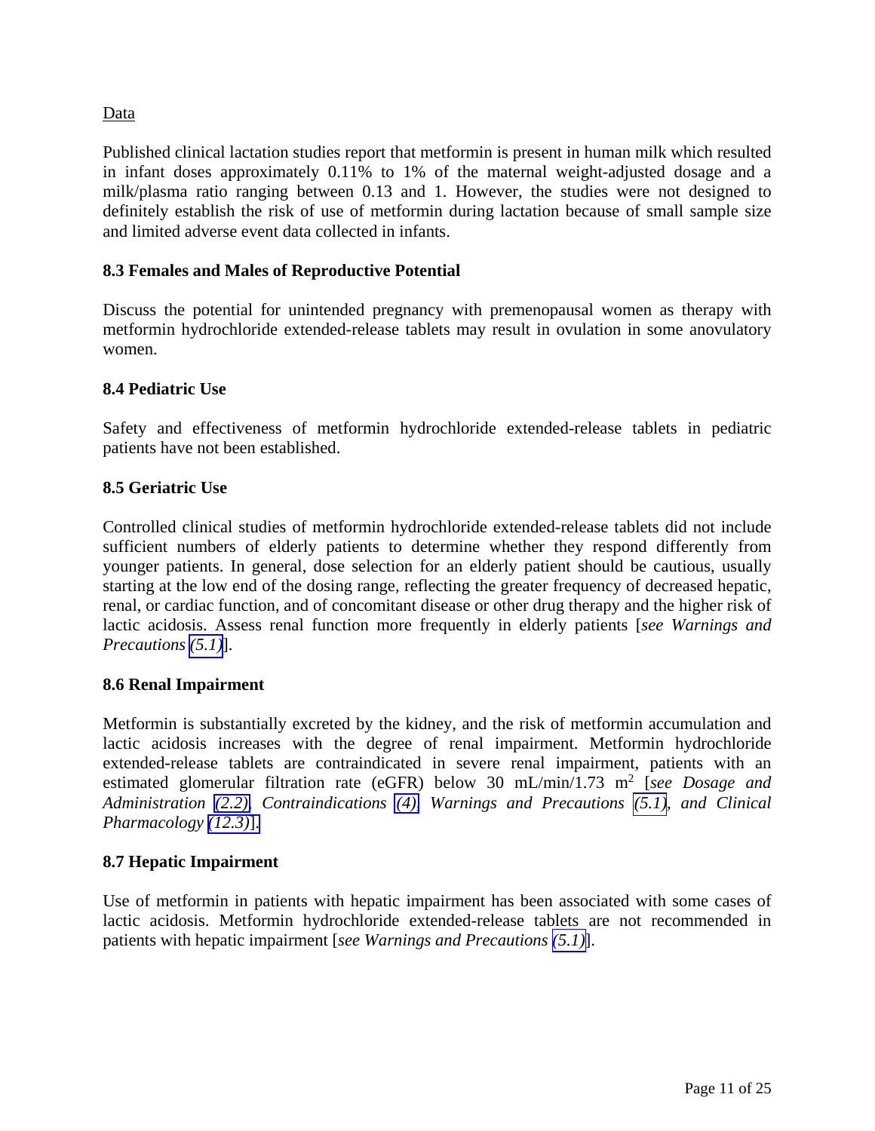## <span id="page-10-0"></span>Data

Published clinical lactation studies report that metformin is present in human milk which resulted in infant doses approximately 0.11% to 1% of the maternal weight-adjusted dosage and a milk/plasma ratio ranging between 0.13 and 1. However, the studies were not designed to definitely establish the risk of use of metformin during lactation because of small sample size and limited adverse event data collected in infants.

## **8.3 Females and Males of Reproductive Potential**

Discuss the potential for unintended pregnancy with premenopausal women as therapy with metformin hydrochloride extended-release tablets may result in ovulation in some anovulatory women.

## **8.4 Pediatric Use**

Safety and effectiveness of metformin hydrochloride extended-release tablets in pediatric patients have not been established.

## **8.5 Geriatric Use**

Controlled clinical studies of metformin hydrochloride extended-release tablets did not include sufficient numbers of elderly patients to determine whether they respond differently from younger patients. In general, dose selection for an elderly patient should be cautious, usually starting at the low end of the dosing range, reflecting the greater frequency of decreased hepatic, renal, or cardiac function, and of concomitant disease or other drug therapy and the higher risk of lactic acidosis. Assess renal function more frequently in elderly patients [*see Warnings and Precautions [\(5.1\)](#page-4-0)*].

### **8.6 Renal Impairment**

Metformin is substantially excreted by the kidney, and the risk of metformin accumulation and lactic acidosis increases with the degree of renal impairment. Metformin hydrochloride extended-release tablets are contraindicated in severe renal impairment, patients with an estimated glomerular filtration rate (eGFR) below 30 mL/min/1.73 m<sup>2</sup> [*see Dosage and Administration [\(2.2\),](#page-3-0) Contraindications [\(4\),](#page-3-0) Warnings and Precautions [\(5.1\),](#page-4-0) and Clinical Pharmacology [\(12.3\)](#page-12-1)*].

### **8.7 Hepatic Impairment**

Use of metformin in patients with hepatic impairment has been associated with some cases of lactic acidosis. Metformin hydrochloride extended-release tablets are not recommended in patients with hepatic impairment [*see Warnings and Precautions [\(5.1\)](#page-4-0)*].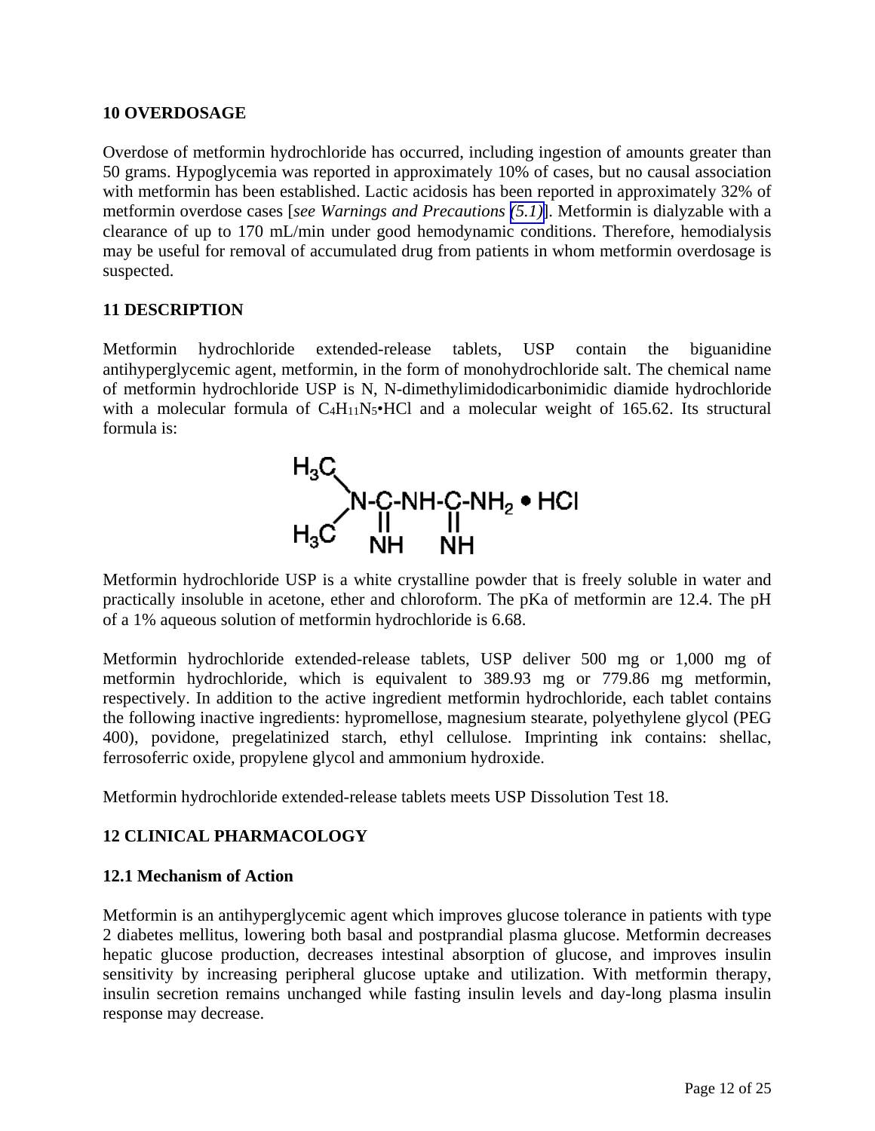### <span id="page-11-0"></span>**10 OVERDOSAGE**

Overdose of metformin hydrochloride has occurred, including ingestion of amounts greater than 50 grams. Hypoglycemia was reported in approximately 10% of cases, but no causal association with metformin has been established. Lactic acidosis has been reported in approximately 32% of metformin overdose cases [*see Warnings and Precautions [\(5.1\)](#page-4-1)*]. Metformin is dialyzable with a clearance of up to 170 mL/min under good hemodynamic conditions. Therefore, hemodialysis may be useful for removal of accumulated drug from patients in whom metformin overdosage is suspected.

## **11 DESCRIPTION**

Metformin hydrochloride extended-release tablets, USP contain the biguanidine antihyperglycemic agent, metformin, in the form of monohydrochloride salt. The chemical name of metformin hydrochloride USP is N, N-dimethylimidodicarbonimidic diamide hydrochloride with a molecular formula of  $C_4H_{11}N_5\bullet HCl$  and a molecular weight of 165.62. Its structural formula is:



Metformin hydrochloride USP is a white crystalline powder that is freely soluble in water and practically insoluble in acetone, ether and chloroform. The pKa of metformin are 12.4. The pH of a 1% aqueous solution of metformin hydrochloride is 6.68.

Metformin hydrochloride extended-release tablets, USP deliver 500 mg or 1,000 mg of metformin hydrochloride, which is equivalent to 389.93 mg or 779.86 mg metformin, respectively. In addition to the active ingredient metformin hydrochloride, each tablet contains the following inactive ingredients: hypromellose, magnesium stearate, polyethylene glycol (PEG 400), povidone, pregelatinized starch, ethyl cellulose. Imprinting ink contains: shellac, ferrosoferric oxide, propylene glycol and ammonium hydroxide.

Metformin hydrochloride extended-release tablets meets USP Dissolution Test 18.

## **12 CLINICAL PHARMACOLOGY**

### **12.1 Mechanism of Action**

Metformin is an antihyperglycemic agent which improves glucose tolerance in patients with type 2 diabetes mellitus, lowering both basal and postprandial plasma glucose. Metformin decreases hepatic glucose production, decreases intestinal absorption of glucose, and improves insulin sensitivity by increasing peripheral glucose uptake and utilization. With metformin therapy, insulin secretion remains unchanged while fasting insulin levels and day-long plasma insulin response may decrease.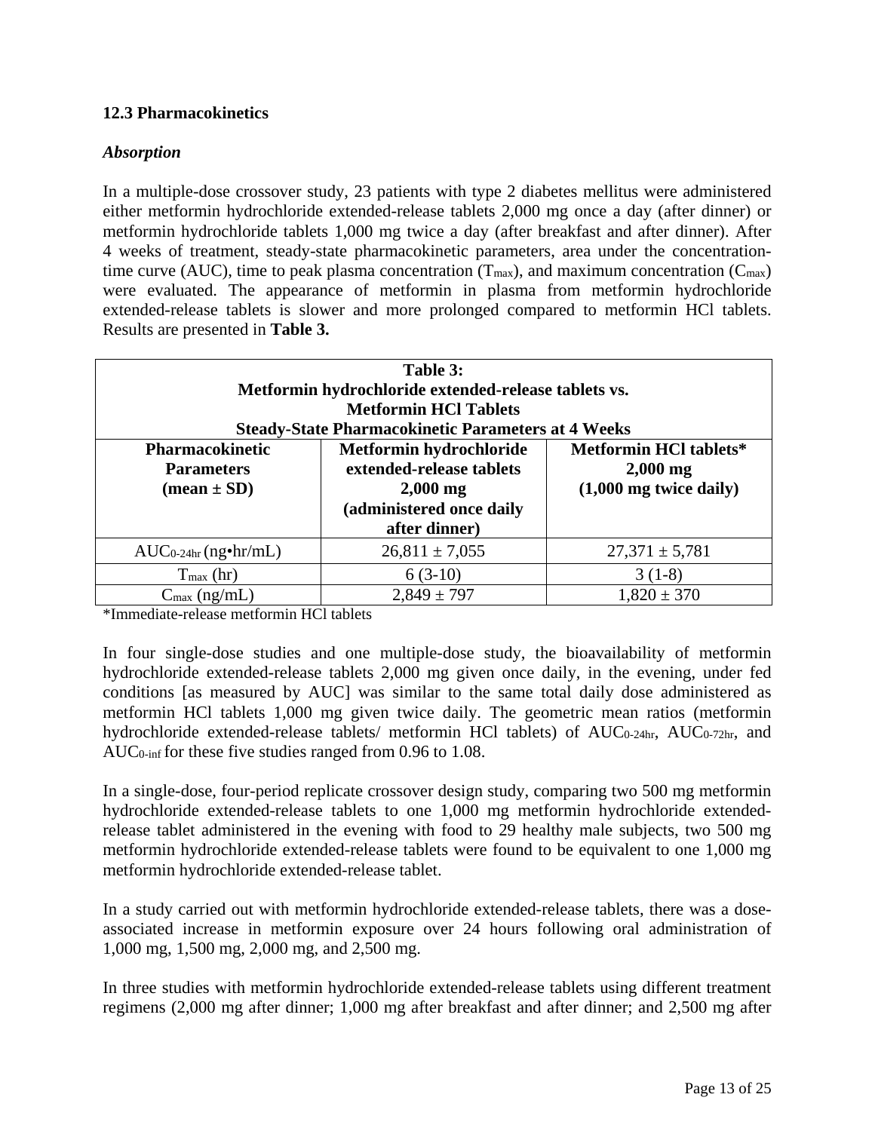## <span id="page-12-1"></span><span id="page-12-0"></span>**12.3 Pharmacokinetics**

## *Absorption*

In a multiple-dose crossover study, 23 patients with type 2 diabetes mellitus were administered either metformin hydrochloride extended-release tablets 2,000 mg once a day (after dinner) or metformin hydrochloride tablets 1,000 mg twice a day (after breakfast and after dinner). After 4 weeks of treatment, steady-state pharmacokinetic parameters, area under the concentrationtime curve (AUC), time to peak plasma concentration  $(T_{\text{max}})$ , and maximum concentration ( $C_{\text{max}}$ ) were evaluated. The appearance of metformin in plasma from metformin hydrochloride extended-release tablets is slower and more prolonged compared to metformin HCl tablets. Results are presented in **Table 3.**

| Table 3:                      |                                                           |                               |  |  |  |
|-------------------------------|-----------------------------------------------------------|-------------------------------|--|--|--|
|                               | Metformin hydrochloride extended-release tablets vs.      |                               |  |  |  |
|                               | <b>Metformin HCl Tablets</b>                              |                               |  |  |  |
|                               | <b>Steady-State Pharmacokinetic Parameters at 4 Weeks</b> |                               |  |  |  |
| <b>Pharmacokinetic</b>        | Metformin hydrochloride                                   | <b>Metformin HCl tablets*</b> |  |  |  |
| <b>Parameters</b>             | extended-release tablets                                  |                               |  |  |  |
| $(\text{mean} \pm \text{SD})$ | $2,000$ mg                                                |                               |  |  |  |
|                               | (administered once daily                                  |                               |  |  |  |
|                               | after dinner)                                             |                               |  |  |  |
| $AUC_{0-24hr}$ (ng•hr/mL)     | $26,811 \pm 7,055$                                        | $27,371 \pm 5,781$            |  |  |  |
| $T_{\text{max}}$ (hr)         | $6(3-10)$                                                 | $3(1-8)$                      |  |  |  |
| $C_{\text{max}}$ (ng/mL)      | $2,849 \pm 797$                                           | $1,820 \pm 370$               |  |  |  |

\*Immediate-release metformin HCl tablets

In four single-dose studies and one multiple-dose study, the bioavailability of metformin hydrochloride extended-release tablets 2,000 mg given once daily, in the evening, under fed conditions [as measured by AUC] was similar to the same total daily dose administered as metformin HCl tablets 1,000 mg given twice daily. The geometric mean ratios (metformin hydrochloride extended-release tablets/ metformin HCl tablets) of AUC<sub>0-24hr</sub>, AUC<sub>0-72hr</sub>, and AUC0-inf for these five studies ranged from 0.96 to 1.08.

In a single-dose, four-period replicate crossover design study, comparing two 500 mg metformin hydrochloride extended-release tablets to one 1,000 mg metformin hydrochloride extendedrelease tablet administered in the evening with food to 29 healthy male subjects, two 500 mg metformin hydrochloride extended-release tablets were found to be equivalent to one 1,000 mg metformin hydrochloride extended-release tablet.

In a study carried out with metformin hydrochloride extended-release tablets, there was a doseassociated increase in metformin exposure over 24 hours following oral administration of 1,000 mg, 1,500 mg, 2,000 mg, and 2,500 mg.

In three studies with metformin hydrochloride extended-release tablets using different treatment regimens (2,000 mg after dinner; 1,000 mg after breakfast and after dinner; and 2,500 mg after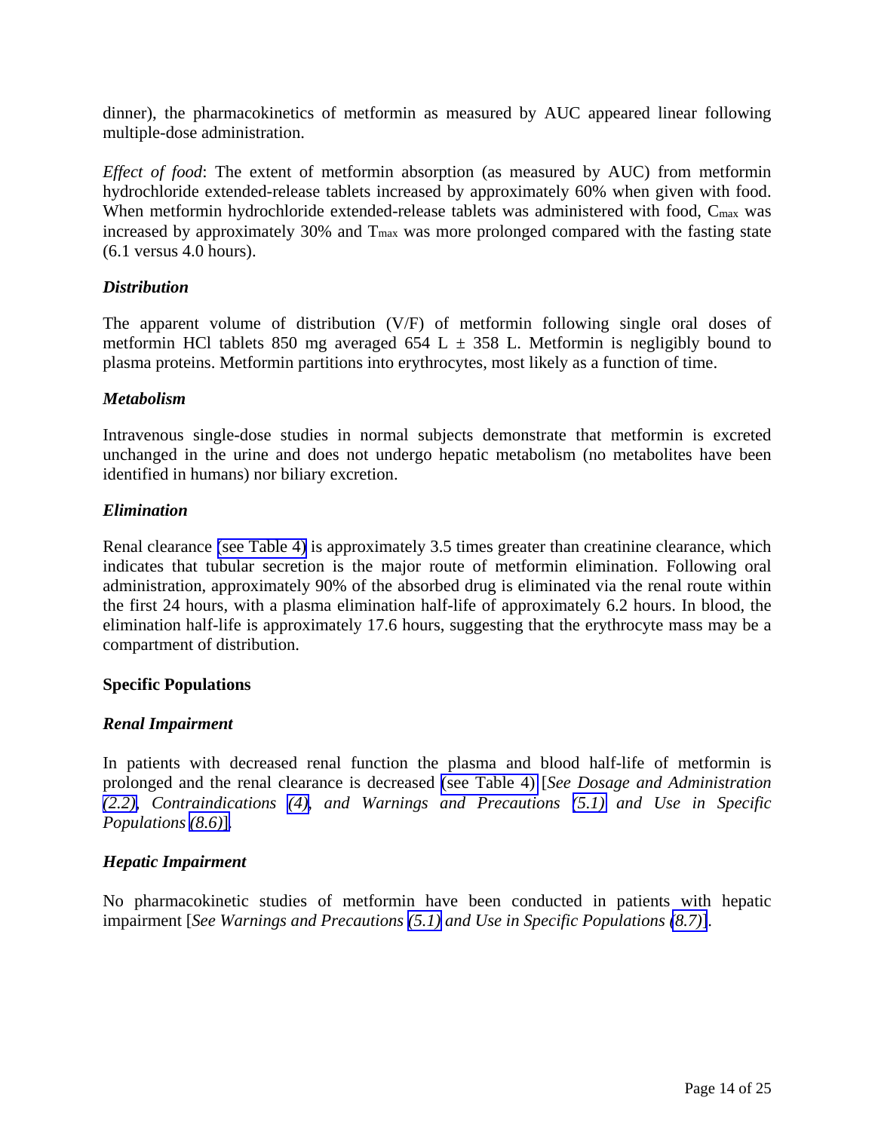dinner), the pharmacokinetics of metformin as measured by AUC appeared linear following multiple-dose administration.

*Effect of food*: The extent of metformin absorption (as measured by AUC) from metformin hydrochloride extended-release tablets increased by approximately 60% when given with food. When metformin hydrochloride extended-release tablets was administered with food, C<sub>max</sub> was increased by approximately 30% and  $T_{\text{max}}$  was more prolonged compared with the fasting state (6.1 versus 4.0 hours).

### *Distribution*

The apparent volume of distribution (V/F) of metformin following single oral doses of metformin HCl tablets 850 mg averaged 654 L  $\pm$  358 L. Metformin is negligibly bound to plasma proteins. Metformin partitions into erythrocytes, most likely as a function of time.

### *Metabolism*

Intravenous single-dose studies in normal subjects demonstrate that metformin is excreted unchanged in the urine and does not undergo hepatic metabolism (no metabolites have been identified in humans) nor biliary excretion.

## *Elimination*

Renal clearance [\(see Table 4\)](#page-14-0) is approximately 3.5 times greater than creatinine clearance, which indicates that tubular secretion is the major route of metformin elimination. Following oral administration, approximately 90% of the absorbed drug is eliminated via the renal route within the first 24 hours, with a plasma elimination half-life of approximately 6.2 hours. In blood, the elimination half-life is approximately 17.6 hours, suggesting that the erythrocyte mass may be a compartment of distribution.

### **Specific Populations**

### *Renal Impairment*

In patients with decreased renal function the plasma and blood half-life of metformin is prolonged and the renal clearance is decreased [\(see Table 4\)](#page-14-0) [*See Dosage and Administration [\(2.2\),](#page-3-0) Contraindications [\(4\),](#page-3-0) and Warnings and Precautions [\(5.1\)](#page-4-0) and Use in Specific Populations [\(8.6\)](#page-10-0)*]*.* 

### *Hepatic Impairment*

No pharmacokinetic studies of metformin have been conducted in patients with hepatic impairment [*See Warnings and Precautions [\(5.1\)](#page-4-0) and Use in Specific Populations [\(8.7\)](#page-10-0)*].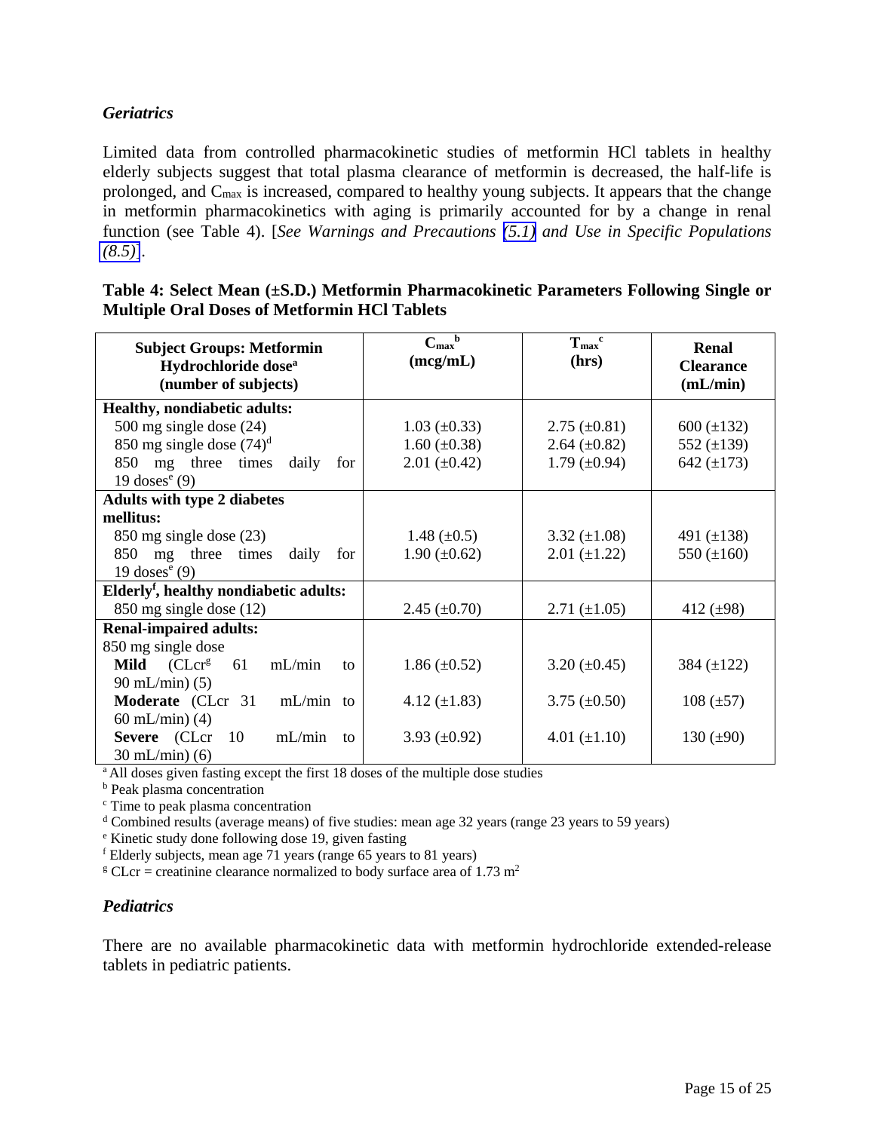## <span id="page-14-0"></span>*Geriatrics*

Limited data from controlled pharmacokinetic studies of metformin HCl tablets in healthy elderly subjects suggest that total plasma clearance of metformin is decreased, the half-life is prolonged, and Cmax is increased, compared to healthy young subjects. It appears that the change in metformin pharmacokinetics with aging is primarily accounted for by a change in renal function (see Table 4). [*See Warnings and Precautions [\(5.1\)](#page-4-0) and Use in Specific Populations [\(8.5\)](#page-10-0)*].

| <b>Subject Groups: Metformin</b><br>Hydrochloride dose <sup>a</sup><br>(number of subjects) | $C_{\rm max}$ <sup>b</sup><br>(mcg/mL) | $T_{max}$ <sup>c</sup><br>(hrs) | Renal<br><b>Clearance</b><br>(mL/min) |
|---------------------------------------------------------------------------------------------|----------------------------------------|---------------------------------|---------------------------------------|
| <b>Healthy, nondiabetic adults:</b>                                                         |                                        |                                 |                                       |
| 500 mg single dose $(24)$                                                                   | $1.03 \ (\pm 0.33)$                    | $2.75 \ (\pm 0.81)$             | $600 (\pm 132)$                       |
| 850 mg single dose $(74)^d$                                                                 | $1.60 \ (\pm 0.38)$                    | $2.64 \ (\pm 0.82)$             | 552 $(\pm 139)$                       |
| mg three times<br>850<br>daily<br>for                                                       | $2.01 (\pm 0.42)$                      | 1.79 $(\pm 0.94)$               | 642 $(\pm 173)$                       |
| 19 doses $e(9)$                                                                             |                                        |                                 |                                       |
| <b>Adults with type 2 diabetes</b>                                                          |                                        |                                 |                                       |
| mellitus:                                                                                   |                                        |                                 |                                       |
| 850 mg single dose (23)                                                                     | 1.48 $(\pm 0.5)$                       | $3.32 \ (\pm 1.08)$             | 491 $(\pm 138)$                       |
| 850 mg three times<br>daily<br>for                                                          | $1.90 \ (\pm 0.62)$                    | $2.01 (\pm 1.22)$               | 550 $(\pm 160)$                       |
| 19 doses $e(9)$                                                                             |                                        |                                 |                                       |
| Elderly <sup>f</sup> , healthy nondiabetic adults:                                          |                                        |                                 |                                       |
| $850$ mg single dose $(12)$                                                                 | $2.45 \ (\pm 0.70)$                    | $2.71 (\pm 1.05)$               | 412 $(\pm 98)$                        |
| <b>Renal-impaired adults:</b>                                                               |                                        |                                 |                                       |
| 850 mg single dose                                                                          |                                        |                                 |                                       |
| <b>Mild</b> $(CLcrg)$<br>mL/min<br>61<br>to                                                 | $1.86 \ (\pm 0.52)$                    | $3.20 \ (\pm 0.45)$             | 384 $(\pm 122)$                       |
| $90 \text{ mL/min}$ (5)                                                                     |                                        |                                 |                                       |
| $mL/min$ to<br>Moderate (CLcr 31                                                            | 4.12 $(\pm 1.83)$                      | $3.75 \ (\pm 0.50)$             | $108 (\pm 57)$                        |
| 60 mL/min $(4)$                                                                             |                                        |                                 |                                       |
| Severe (CLcr<br>10<br>mL/min<br>to                                                          | 3.93 $(\pm 0.92)$                      | 4.01 $(\pm 1.10)$               | 130 $(\pm 90)$                        |
| $30 \text{ mL/min}$ (6)                                                                     |                                        |                                 |                                       |

**Table 4: Select Mean (±S.D.) Metformin Pharmacokinetic Parameters Following Single or Multiple Oral Doses of Metformin HCl Tablets**

<sup>a</sup> All doses given fasting except the first 18 doses of the multiple dose studies

**b** Peak plasma concentration

<sup>c</sup> Time to peak plasma concentration

 $d$  Combined results (average means) of five studies: mean age 32 years (range 23 years to 59 years)

<sup>e</sup> Kinetic study done following dose 19, given fasting

 $f$  Elderly subjects, mean age 71 years (range 65 years to 81 years)

<sup>g</sup> CLcr = creatinine clearance normalized to body surface area of 1.73 m<sup>2</sup>

#### *Pediatrics*

There are no available pharmacokinetic data with metformin hydrochloride extended-release tablets in pediatric patients.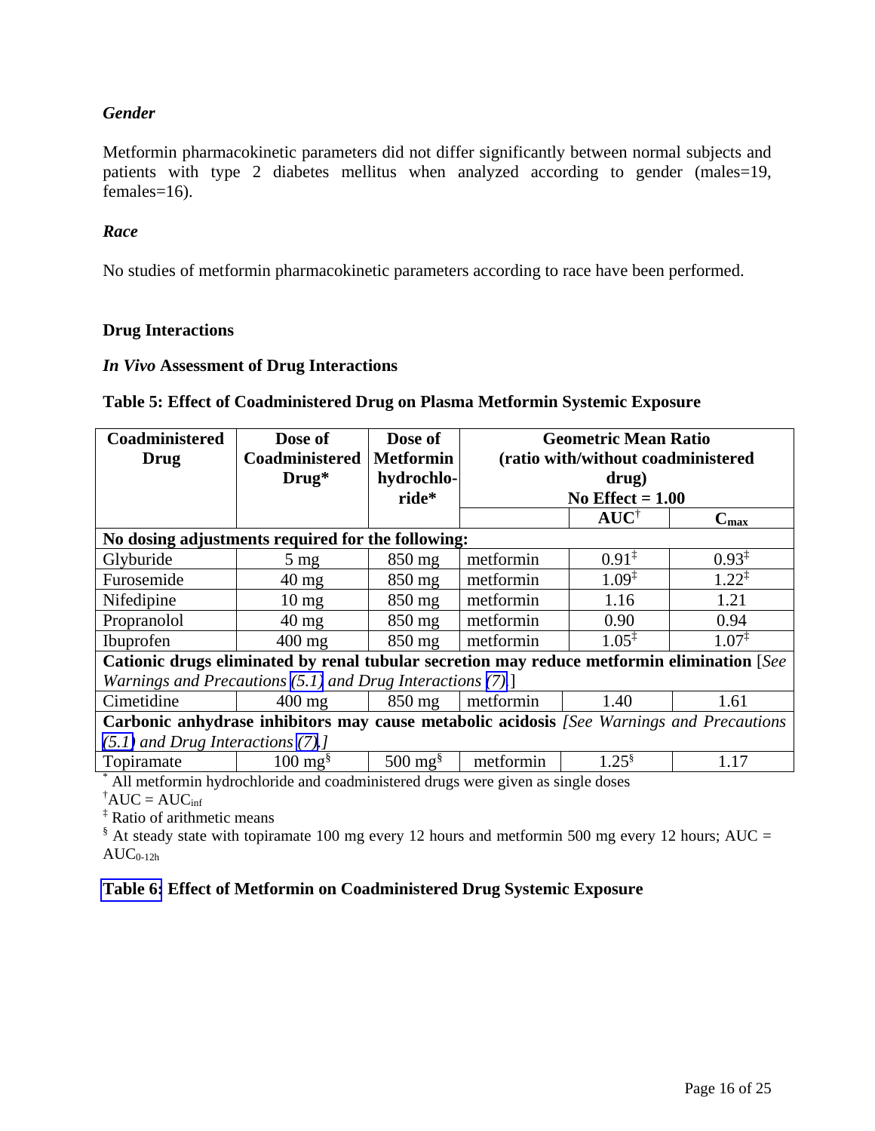## *Gender*

Metformin pharmacokinetic parameters did not differ significantly between normal subjects and patients with type 2 diabetes mellitus when analyzed according to gender (males=19,  $f$ emales=16).

#### *Race*

No studies of metformin pharmacokinetic parameters according to race have been performed.

#### **Drug Interactions**

#### *In Vivo* **Assessment of Drug Interactions**

#### **Table 5: Effect of Coadministered Drug on Plasma Metformin Systemic Exposure**

| Coadministered                                                                           | Dose of                                                                                     | Dose of                     | <b>Geometric Mean Ratio</b> |                                    |                   |  |
|------------------------------------------------------------------------------------------|---------------------------------------------------------------------------------------------|-----------------------------|-----------------------------|------------------------------------|-------------------|--|
| Drug                                                                                     | Coadministered                                                                              | <b>Metformin</b>            |                             | (ratio with/without coadministered |                   |  |
|                                                                                          | $Drug*$                                                                                     | hydrochlo-                  |                             | drug)                              |                   |  |
|                                                                                          |                                                                                             | ride*                       | No Effect $= 1.00$          |                                    |                   |  |
|                                                                                          |                                                                                             |                             |                             | $AUC^{\dagger}$                    | $C_{\text{max}}$  |  |
| No dosing adjustments required for the following:                                        |                                                                                             |                             |                             |                                    |                   |  |
| Glyburide                                                                                | $5 \text{ mg}$                                                                              | $850$ mg                    | metformin                   | $0.91^{\ddagger}$                  | $0.93^{\ddagger}$ |  |
| Furosemide                                                                               | $40 \text{ mg}$                                                                             | $850$ mg                    | metformin                   | $1.09^{\ddagger}$                  | $1.22^{\ddagger}$ |  |
| Nifedipine                                                                               | $10 \text{ mg}$                                                                             | $850$ mg                    | metformin                   | 1.16                               | 1.21              |  |
| Propranolol                                                                              | $40 \text{ mg}$                                                                             | 850 mg                      | metformin                   | 0.90                               | 0.94              |  |
| Ibuprofen                                                                                | $400$ mg                                                                                    | 850 mg                      | metformin                   | $1.05^{\ddagger}$                  | $1.07^{\ddagger}$ |  |
|                                                                                          | Cationic drugs eliminated by renal tubular secretion may reduce metformin elimination [See] |                             |                             |                                    |                   |  |
| Warnings and Precautions $(5.1)$ and Drug Interactions $(7).$                            |                                                                                             |                             |                             |                                    |                   |  |
| Cimetidine                                                                               | $400$ mg                                                                                    | $850 \text{ mg}$            | metformin                   | 1.40                               | 1.61              |  |
| Carbonic anhydrase inhibitors may cause metabolic acidosis [See Warnings and Precautions |                                                                                             |                             |                             |                                    |                   |  |
| $(5.1)$ and Drug Interactions $(7).$                                                     |                                                                                             |                             |                             |                                    |                   |  |
| Topiramate                                                                               | $100 \text{ mg}^{\text{s}}$                                                                 | $500 \text{ mg}^{\text{s}}$ | metformin                   | $1.25^{\frac{8}{5}}$               | 1.17              |  |

\* All metformin hydrochloride and coadministered drugs were given as single doses

 $^{\dagger}$ AUC = AUC<sub>inf</sub>

‡ Ratio of arithmetic means

 $\frac{1}{2}$  At steady state with topiramate 100 mg every 12 hours and metformin 500 mg every 12 hours; AUC =  $AUC_{0-12h}$ 

### **[Table 6:](#page-16-0) Effect of Metformin on Coadministered Drug Systemic Exposure**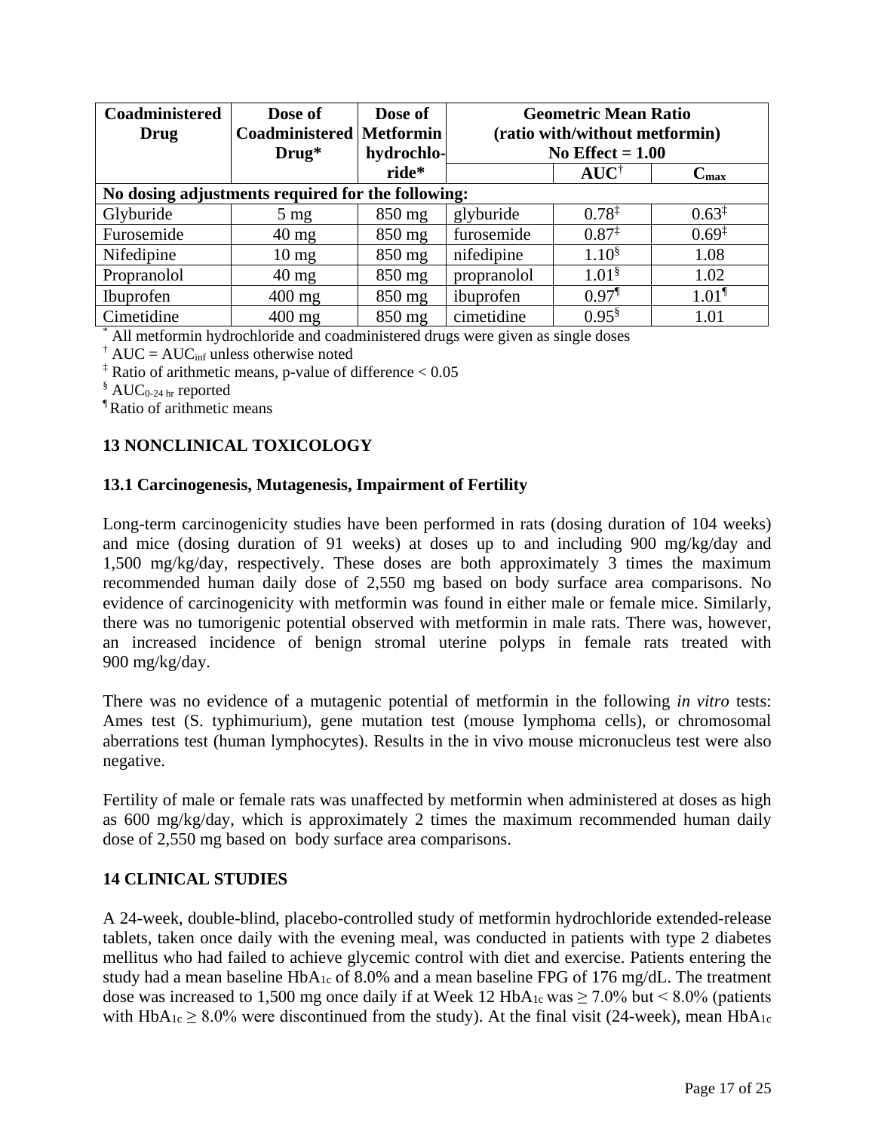<span id="page-16-0"></span>

| Coadministered                                    | Dose of                         | Dose of          | <b>Geometric Mean Ratio</b> |                                |                     |
|---------------------------------------------------|---------------------------------|------------------|-----------------------------|--------------------------------|---------------------|
| Drug                                              | <b>Coadministered Metformin</b> |                  |                             | (ratio with/without metformin) |                     |
|                                                   | $Drug*$                         | hydrochlo-       | No Effect $= 1.00$          |                                |                     |
|                                                   |                                 | ride*            |                             | $AUC^{\dagger}$                | $C_{\max}$          |
| No dosing adjustments required for the following: |                                 |                  |                             |                                |                     |
| Glyburide                                         | $5 \text{ mg}$                  | 850 mg           | glyburide                   | $0.78^{\ddagger}$              | $0.63^{\ddagger}$   |
| Furosemide                                        | $40 \text{ mg}$                 | $850 \text{ mg}$ | furosemide                  | $0.87^{\ddagger}$              | $0.69^{\ddagger}$   |
| Nifedipine                                        | $10 \text{ mg}$                 | $850$ mg         | nifedipine                  | $1.10^{8}$                     | 1.08                |
| Propranolol                                       | $40 \text{ mg}$                 | $850$ mg         | propranolol                 | $1.01^{\$}$                    | 1.02                |
| Ibuprofen                                         | $400$ mg                        | $850$ mg         | ibuprofen                   | $0.97$ <sup>1</sup>            | $1.01$ <sup>1</sup> |
| Cimetidine                                        | $400$ mg                        | 850 mg           | cimetidine                  | $0.95^{\$}$                    | 1.01                |

\* All metformin hydrochloride and coadministered drugs were given as single doses

<sup>†</sup> AUC = AUC<sub>inf</sub> unless otherwise noted

<sup>‡</sup> Ratio of arithmetic means, p-value of difference  $< 0.05$ 

 $\delta$  AUC<sub>0-24 hr</sub> reported

¶ Ratio of arithmetic means

## **13 NONCLINICAL TOXICOLOGY**

#### **13.1 Carcinogenesis, Mutagenesis, Impairment of Fertility**

Long-term carcinogenicity studies have been performed in rats (dosing duration of 104 weeks) and mice (dosing duration of 91 weeks) at doses up to and including 900 mg/kg/day and 1,500 mg/kg/day, respectively. These doses are both approximately 3 times the maximum recommended human daily dose of 2,550 mg based on body surface area comparisons. No evidence of carcinogenicity with metformin was found in either male or female mice. Similarly, there was no tumorigenic potential observed with metformin in male rats. There was, however, an increased incidence of benign stromal uterine polyps in female rats treated with 900 mg/kg/day.

There was no evidence of a mutagenic potential of metformin in the following *in vitro* tests: Ames test (S. typhimurium), gene mutation test (mouse lymphoma cells), or chromosomal aberrations test (human lymphocytes). Results in the in vivo mouse micronucleus test were also negative.

Fertility of male or female rats was unaffected by metformin when administered at doses as high as 600 mg/kg/day, which is approximately 2 times the maximum recommended human daily dose of 2,550 mg based on body surface area comparisons.

### **14 CLINICAL STUDIES**

A 24-week, double-blind, placebo-controlled study of metformin hydrochloride extended-release tablets, taken once daily with the evening meal, was conducted in patients with type 2 diabetes mellitus who had failed to achieve glycemic control with diet and exercise. Patients entering the study had a mean baseline HbA<sub>1c</sub> of 8.0% and a mean baseline FPG of 176 mg/dL. The treatment dose was increased to 1,500 mg once daily if at Week 12 HbA<sub>1c</sub> was  $\geq 7.0\%$  but < 8.0% (patients with  $HbA_{1c} \geq 8.0\%$  were discontinued from the study). At the final visit (24-week), mean HbA<sub>1c</sub>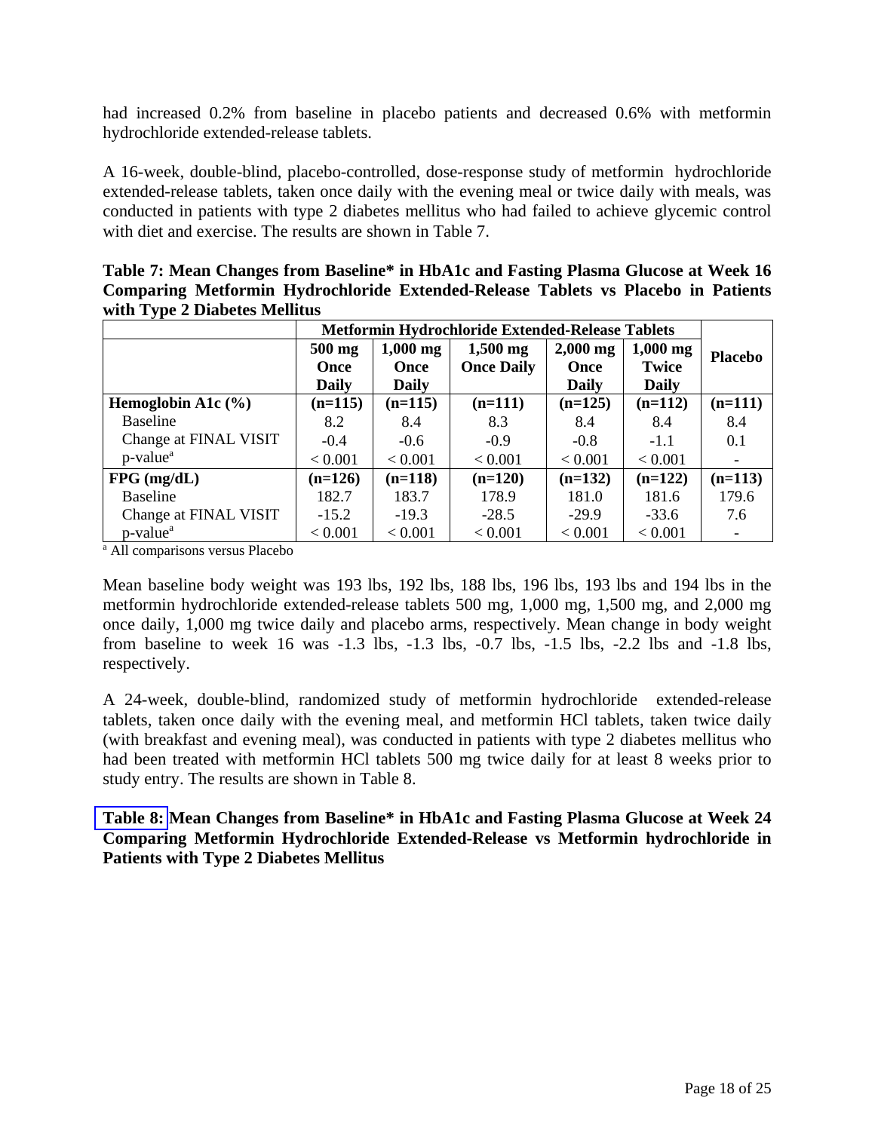had increased 0.2% from baseline in placebo patients and decreased 0.6% with metformin hydrochloride extended-release tablets.

A 16-week, double-blind, placebo-controlled, dose-response study of metformin hydrochloride extended-release tablets, taken once daily with the evening meal or twice daily with meals, was conducted in patients with type 2 diabetes mellitus who had failed to achieve glycemic control with diet and exercise. The results are shown in Table 7.

**Table 7: Mean Changes from Baseline\* in HbA1c and Fasting Plasma Glucose at Week 16 Comparing Metformin Hydrochloride Extended-Release Tablets vs Placebo in Patients with Type 2 Diabetes Mellitus**

|                                      |              | <b>Metformin Hydrochloride Extended-Release Tablets</b> |                   |              |              |                |
|--------------------------------------|--------------|---------------------------------------------------------|-------------------|--------------|--------------|----------------|
|                                      | $500$ mg     | $1,000$ mg                                              | $1,500$ mg        | $2,000$ mg   | $1,000$ mg   | <b>Placebo</b> |
|                                      | <b>Once</b>  | <b>Once</b>                                             | <b>Once Daily</b> | <b>Once</b>  | Twice        |                |
|                                      | <b>Daily</b> | <b>Daily</b>                                            |                   | <b>Daily</b> | <b>Daily</b> |                |
| Hemoglobin A1 $c$ (%)                | $(n=115)$    | $(n=115)$                                               | $(n=111)$         | $(n=125)$    | $(n=112)$    | $(n=111)$      |
| <b>Baseline</b>                      | 8.2          | 8.4                                                     | 8.3               | 8.4          | 8.4          | 8.4            |
| Change at FINAL VISIT                | $-0.4$       | $-0.6$                                                  | $-0.9$            | $-0.8$       | $-1.1$       | 0.1            |
| $p$ -value <sup><math>a</math></sup> | < 0.001      | < 0.001                                                 | < 0.001           | < 0.001      | < 0.001      |                |
| $FPG$ (mg/dL)                        | $(n=126)$    | $(n=118)$                                               | $(n=120)$         | $(n=132)$    | $(n=122)$    | $(n=113)$      |
| <b>Baseline</b>                      | 182.7        | 183.7                                                   | 178.9             | 181.0        | 181.6        | 179.6          |
| Change at FINAL VISIT                | $-15.2$      | $-19.3$                                                 | $-28.5$           | $-29.9$      | $-33.6$      | 7.6            |
| $p$ -value <sup><math>a</math></sup> | < 0.001      | < 0.001                                                 | < 0.001           | < 0.001      | < 0.001      |                |

<sup>a</sup> All comparisons versus Placebo

Mean baseline body weight was 193 lbs, 192 lbs, 188 lbs, 196 lbs, 193 lbs and 194 lbs in the metformin hydrochloride extended-release tablets 500 mg, 1,000 mg, 1,500 mg, and 2,000 mg once daily, 1,000 mg twice daily and placebo arms, respectively. Mean change in body weight from baseline to week 16 was -1.3 lbs, -1.3 lbs, -0.7 lbs, -1.5 lbs, -2.2 lbs and -1.8 lbs, respectively.

A 24-week, double-blind, randomized study of metformin hydrochloride extended-release tablets, taken once daily with the evening meal, and metformin HCl tablets, taken twice daily (with breakfast and evening meal), was conducted in patients with type 2 diabetes mellitus who had been treated with metformin HCl tablets 500 mg twice daily for at least 8 weeks prior to study entry. The results are shown in Table 8.

**[Table 8:](#page-18-0) Mean Changes from Baseline\* in HbA1c and Fasting Plasma Glucose at Week 24 Comparing Metformin Hydrochloride Extended-Release vs Metformin hydrochloride in Patients with Type 2 Diabetes Mellitus**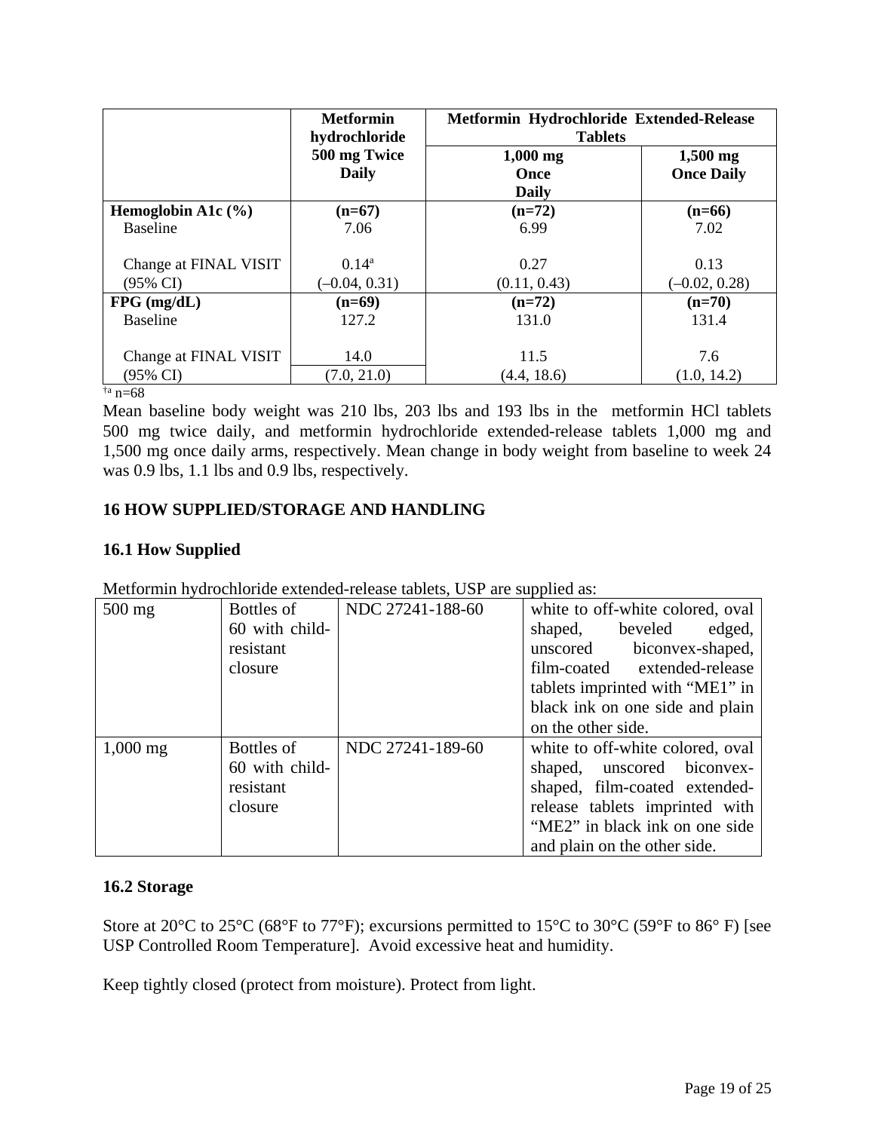<span id="page-18-0"></span>

|                       | <b>Metformin</b><br>Metformin Hydrochloride Extended-Release<br>hydrochloride<br><b>Tablets</b> |              |                   |
|-----------------------|-------------------------------------------------------------------------------------------------|--------------|-------------------|
|                       | 500 mg Twice                                                                                    | $1,000$ mg   | $1,500$ mg        |
|                       | <b>Daily</b>                                                                                    | <b>Once</b>  | <b>Once Daily</b> |
|                       |                                                                                                 | <b>Daily</b> |                   |
| Hemoglobin A1 $c$ (%) | $(n=67)$                                                                                        | $(n=72)$     | $(n=66)$          |
| <b>Baseline</b>       | 7.06                                                                                            | 6.99         | 7.02              |
|                       |                                                                                                 |              |                   |
| Change at FINAL VISIT | $0.14^{\rm a}$                                                                                  | 0.27         | 0.13              |
| $(95\% \text{ CI})$   | $(-0.04, 0.31)$                                                                                 | (0.11, 0.43) | $(-0.02, 0.28)$   |
| $FPG$ (mg/dL)         | $(n=69)$                                                                                        | $(n=72)$     | $(n=70)$          |
| <b>Baseline</b>       | 127.2                                                                                           | 131.0        | 131.4             |
|                       |                                                                                                 |              |                   |
| Change at FINAL VISIT | 14.0                                                                                            | 11.5         | 7.6               |
| (95% CI)              | (7.0, 21.0)                                                                                     | (4.4, 18.6)  | (1.0, 14.2)       |

†a n=68

Mean baseline body weight was 210 lbs, 203 lbs and 193 lbs in the metformin HCl tablets 500 mg twice daily, and metformin hydrochloride extended-release tablets 1,000 mg and 1,500 mg once daily arms, respectively. Mean change in body weight from baseline to week 24 was 0.9 lbs, 1.1 lbs and 0.9 lbs, respectively.

## **16 HOW SUPPLIED/STORAGE AND HANDLING**

## **16.1 How Supplied**

|  |  |  | Metformin hydrochloride extended-release tablets, USP are supplied as: |  |  |
|--|--|--|------------------------------------------------------------------------|--|--|
|--|--|--|------------------------------------------------------------------------|--|--|

| $500$ mg              | Bottles of     | NDC 27241-188-60 | white to off-white colored, oval |
|-----------------------|----------------|------------------|----------------------------------|
|                       | 60 with child- |                  | shaped, beveled<br>edged,        |
|                       | resistant      |                  | unscored biconvex-shaped,        |
|                       | closure        |                  | film-coated extended-release     |
|                       |                |                  | tablets imprinted with "ME1" in  |
|                       |                |                  | black ink on one side and plain  |
|                       |                |                  | on the other side.               |
| $1,000 \,\mathrm{mg}$ | Bottles of     | NDC 27241-189-60 | white to off-white colored, oval |
|                       | 60 with child- |                  | shaped, unscored biconvex-       |
|                       | resistant      |                  | shaped, film-coated extended-    |
|                       | closure        |                  | release tablets imprinted with   |
|                       |                |                  | "ME2" in black ink on one side   |
|                       |                |                  | and plain on the other side.     |

### **16.2 Storage**

Store at 20 $^{\circ}$ C to 25 $^{\circ}$ C (68 $^{\circ}$ F to 77 $^{\circ}$ F); excursions permitted to 15 $^{\circ}$ C to 30 $^{\circ}$ C (59 $^{\circ}$ F to 86 $^{\circ}$  F) [see USP Controlled Room Temperature]. Avoid excessive heat and humidity.

Keep tightly closed (protect from moisture). Protect from light.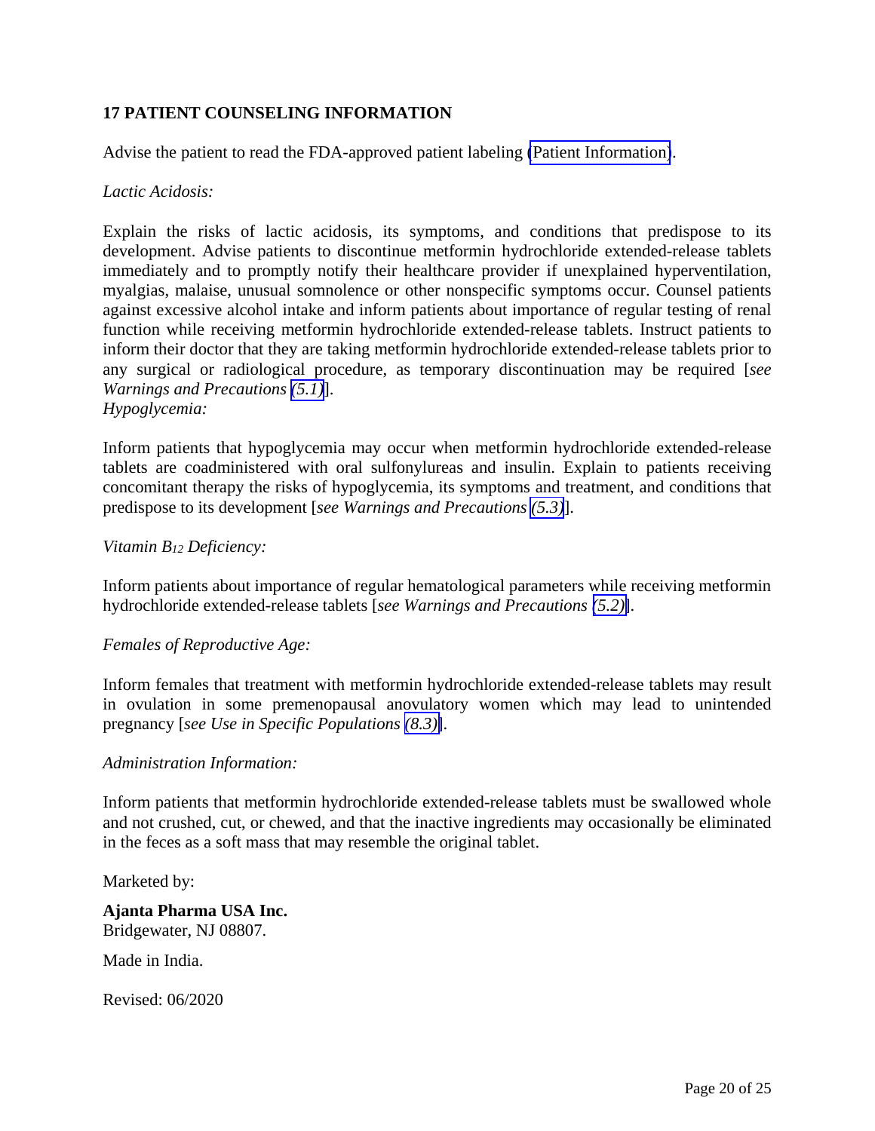## <span id="page-19-0"></span>**17 PATIENT COUNSELING INFORMATION**

Advise the patient to read the FDA-approved patient labeling [\(Patient Information\)](#page-20-0).

### *Lactic Acidosis:*

Explain the risks of lactic acidosis, its symptoms, and conditions that predispose to its development. Advise patients to discontinue metformin hydrochloride extended-release tablets immediately and to promptly notify their healthcare provider if unexplained hyperventilation, myalgias, malaise, unusual somnolence or other nonspecific symptoms occur. Counsel patients against excessive alcohol intake and inform patients about importance of regular testing of renal function while receiving metformin hydrochloride extended-release tablets. Instruct patients to inform their doctor that they are taking metformin hydrochloride extended-release tablets prior to any surgical or radiological procedure, as temporary discontinuation may be required [*see Warnings and Precautions [\(5.1\)](#page-4-0)*]. *Hypoglycemia:* 

Inform patients that hypoglycemia may occur when metformin hydrochloride extended-release tablets are coadministered with oral sulfonylureas and insulin. Explain to patients receiving concomitant therapy the risks of hypoglycemia, its symptoms and treatment, and conditions that predispose to its development [*see Warnings and Precautions [\(5.3\)](#page-6-0)*].

### *Vitamin B12 Deficiency:*

Inform patients about importance of regular hematological parameters while receiving metformin hydrochloride extended-release tablets [*see Warnings and Precautions [\(5.2\)](#page-6-0)*].

### *Females of Reproductive Age:*

Inform females that treatment with metformin hydrochloride extended-release tablets may result in ovulation in some premenopausal anovulatory women which may lead to unintended pregnancy [*see Use in Specific Populations [\(8.3\)](#page-10-0)*].

### *Administration Information:*

Inform patients that metformin hydrochloride extended-release tablets must be swallowed whole and not crushed, cut, or chewed, and that the inactive ingredients may occasionally be eliminated in the feces as a soft mass that may resemble the original tablet.

Marketed by:

**Ajanta Pharma USA Inc.** Bridgewater, NJ 08807.

Made in India.

Revised: 06/2020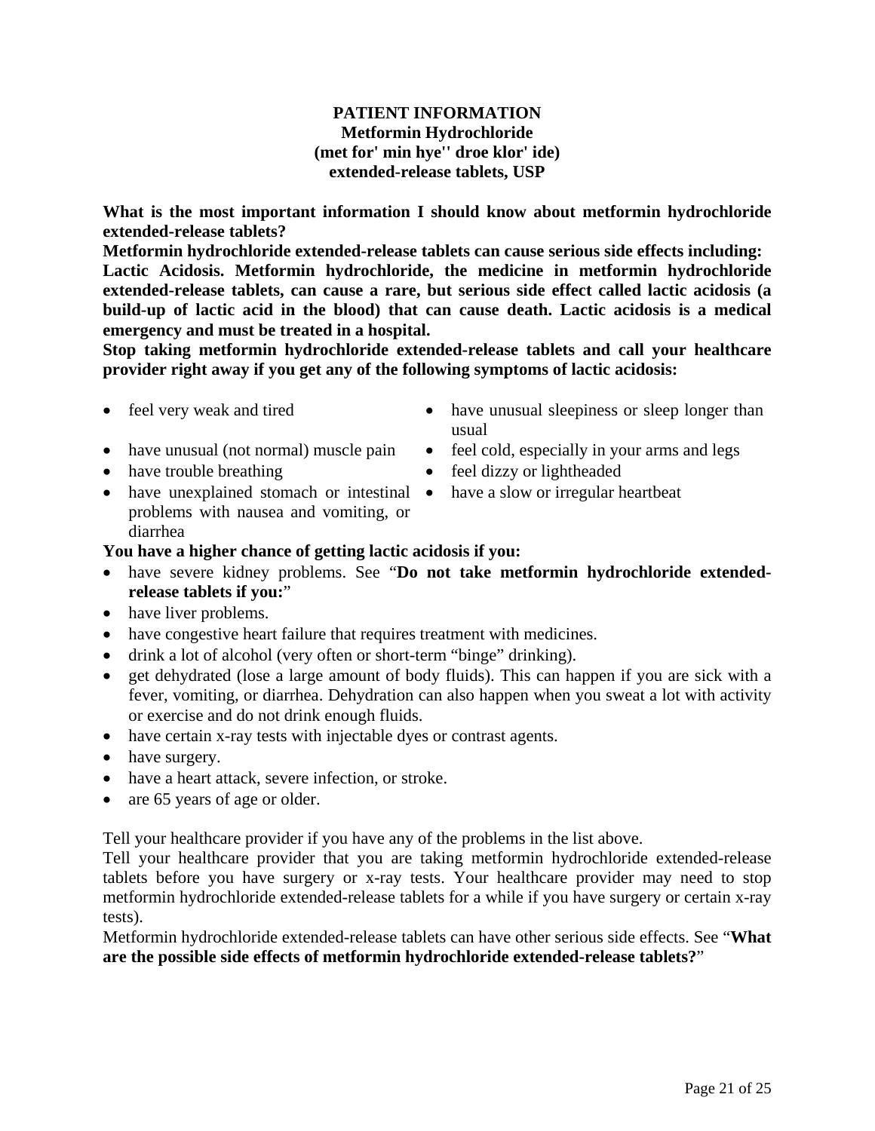## **PATIENT INFORMATION Metformin Hydrochloride (met for' min hye'' droe klor' ide) extended-release tablets, USP**

<span id="page-20-0"></span>**What is the most important information I should know about metformin hydrochloride extended-release tablets?** 

**Metformin hydrochloride extended-release tablets can cause serious side effects including: Lactic Acidosis. Metformin hydrochloride, the medicine in metformin hydrochloride extended-release tablets, can cause a rare, but serious side effect called lactic acidosis (a build-up of lactic acid in the blood) that can cause death. Lactic acidosis is a medical emergency and must be treated in a hospital.**

**Stop taking metformin hydrochloride extended-release tablets and call your healthcare provider right away if you get any of the following symptoms of lactic acidosis:**

- 
- 
- 
- feel very weak and tired have unusual sleepiness or sleep longer than usual
- have unusual (not normal) muscle pain feel cold, especially in your arms and legs
- have trouble breathing feel dizzy or lightheaded
	- have a slow or irregular heartbeat
- have unexplained stomach or intestinal problems with nausea and vomiting, or diarrhea

## **You have a higher chance of getting lactic acidosis if you:**

- have severe kidney problems. See "**Do not take metformin hydrochloride extendedrelease tablets if you:**"
- have liver problems.
- have congestive heart failure that requires treatment with medicines.
- drink a lot of alcohol (very often or short-term "binge" drinking).
- get dehydrated (lose a large amount of body fluids). This can happen if you are sick with a fever, vomiting, or diarrhea. Dehydration can also happen when you sweat a lot with activity or exercise and do not drink enough fluids.
- have certain x-ray tests with injectable dyes or contrast agents.
- have surgery.
- have a heart attack, severe infection, or stroke.
- are 65 years of age or older.

Tell your healthcare provider if you have any of the problems in the list above.

Tell your healthcare provider that you are taking metformin hydrochloride extended-release tablets before you have surgery or x-ray tests. Your healthcare provider may need to stop metformin hydrochloride extended-release tablets for a while if you have surgery or certain x-ray tests).

Metformin hydrochloride extended-release tablets can have other serious side effects. See "**What are the possible side effects of metformin hydrochloride extended-release tablets?**"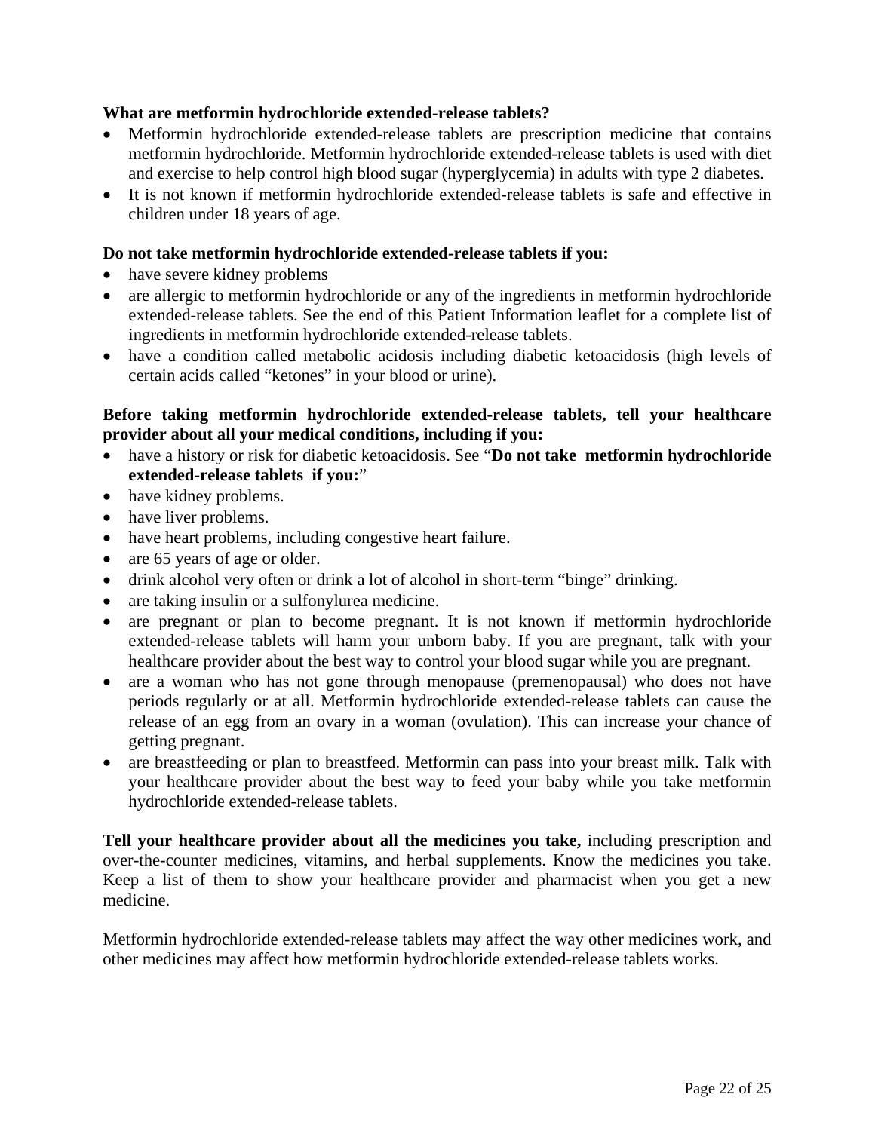## **What are metformin hydrochloride extended-release tablets?**

- Metformin hydrochloride extended-release tablets are prescription medicine that contains metformin hydrochloride. Metformin hydrochloride extended-release tablets is used with diet and exercise to help control high blood sugar (hyperglycemia) in adults with type 2 diabetes.
- It is not known if metformin hydrochloride extended-release tablets is safe and effective in children under 18 years of age.

## **Do not take metformin hydrochloride extended-release tablets if you:**

- have severe kidney problems
- are allergic to metformin hydrochloride or any of the ingredients in metformin hydrochloride extended-release tablets. See the end of this Patient Information leaflet for a complete list of ingredients in metformin hydrochloride extended-release tablets.
- have a condition called metabolic acidosis including diabetic ketoacidosis (high levels of certain acids called "ketones" in your blood or urine).

## **Before taking metformin hydrochloride extended-release tablets, tell your healthcare provider about all your medical conditions, including if you:**

- have a history or risk for diabetic ketoacidosis. See "**Do not take metformin hydrochloride extended-release tablets if you:**"
- have kidney problems.
- have liver problems.
- have heart problems, including congestive heart failure.
- are 65 years of age or older.
- drink alcohol very often or drink a lot of alcohol in short-term "binge" drinking.
- are taking insulin or a sulfonylurea medicine.
- are pregnant or plan to become pregnant. It is not known if metformin hydrochloride extended-release tablets will harm your unborn baby. If you are pregnant, talk with your healthcare provider about the best way to control your blood sugar while you are pregnant.
- are a woman who has not gone through menopause (premenopausal) who does not have periods regularly or at all. Metformin hydrochloride extended-release tablets can cause the release of an egg from an ovary in a woman (ovulation). This can increase your chance of getting pregnant.
- are breastfeeding or plan to breastfeed. Metformin can pass into your breast milk. Talk with your healthcare provider about the best way to feed your baby while you take metformin hydrochloride extended-release tablets.

**Tell your healthcare provider about all the medicines you take,** including prescription and over-the-counter medicines, vitamins, and herbal supplements. Know the medicines you take. Keep a list of them to show your healthcare provider and pharmacist when you get a new medicine.

Metformin hydrochloride extended-release tablets may affect the way other medicines work, and other medicines may affect how metformin hydrochloride extended-release tablets works.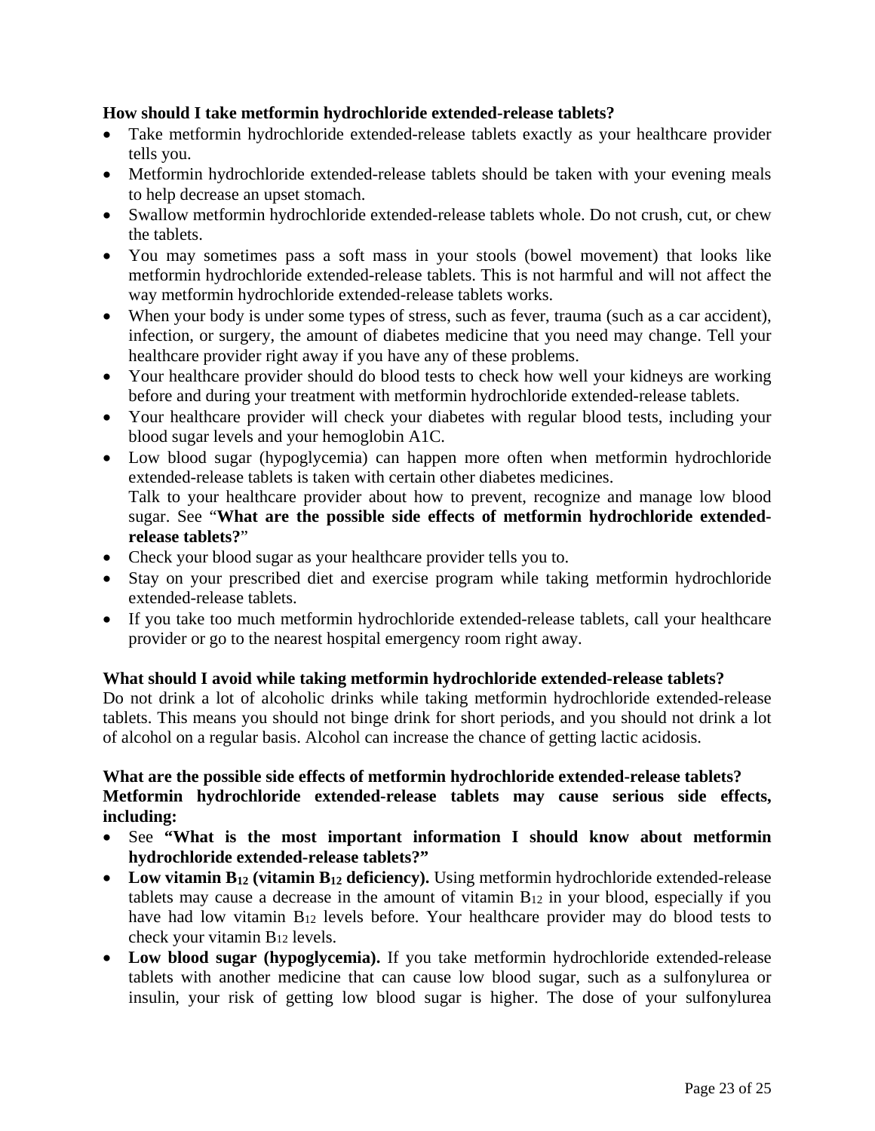## **How should I take metformin hydrochloride extended-release tablets?**

- Take metformin hydrochloride extended-release tablets exactly as your healthcare provider tells you.
- Metformin hydrochloride extended-release tablets should be taken with your evening meals to help decrease an upset stomach.
- Swallow metformin hydrochloride extended-release tablets whole. Do not crush, cut, or chew the tablets.
- You may sometimes pass a soft mass in your stools (bowel movement) that looks like metformin hydrochloride extended-release tablets. This is not harmful and will not affect the way metformin hydrochloride extended-release tablets works.
- When your body is under some types of stress, such as fever, trauma (such as a car accident), infection, or surgery, the amount of diabetes medicine that you need may change. Tell your healthcare provider right away if you have any of these problems.
- Your healthcare provider should do blood tests to check how well your kidneys are working before and during your treatment with metformin hydrochloride extended-release tablets.
- Your healthcare provider will check your diabetes with regular blood tests, including your blood sugar levels and your hemoglobin A1C.
- Low blood sugar (hypoglycemia) can happen more often when metformin hydrochloride extended-release tablets is taken with certain other diabetes medicines. Talk to your healthcare provider about how to prevent, recognize and manage low blood sugar. See "**What are the possible side effects of metformin hydrochloride extendedrelease tablets?**"
- Check your blood sugar as your healthcare provider tells you to.
- Stay on your prescribed diet and exercise program while taking metformin hydrochloride extended-release tablets.
- If you take too much metformin hydrochloride extended-release tablets, call your healthcare provider or go to the nearest hospital emergency room right away.

### **What should I avoid while taking metformin hydrochloride extended-release tablets?**

Do not drink a lot of alcoholic drinks while taking metformin hydrochloride extended-release tablets. This means you should not binge drink for short periods, and you should not drink a lot of alcohol on a regular basis. Alcohol can increase the chance of getting lactic acidosis.

## **What are the possible side effects of metformin hydrochloride extended-release tablets? Metformin hydrochloride extended-release tablets may cause serious side effects, including:**

- See **"What is the most important information I should know about metformin hydrochloride extended-release tablets?"**
- Low vitamin B<sub>12</sub> (vitamin B<sub>12</sub> deficiency). Using metformin hydrochloride extended-release tablets may cause a decrease in the amount of vitamin  $B_{12}$  in your blood, especially if you have had low vitamin B12 levels before. Your healthcare provider may do blood tests to check your vitamin B12 levels.
- **Low blood sugar (hypoglycemia).** If you take metformin hydrochloride extended-release tablets with another medicine that can cause low blood sugar, such as a sulfonylurea or insulin, your risk of getting low blood sugar is higher. The dose of your sulfonylurea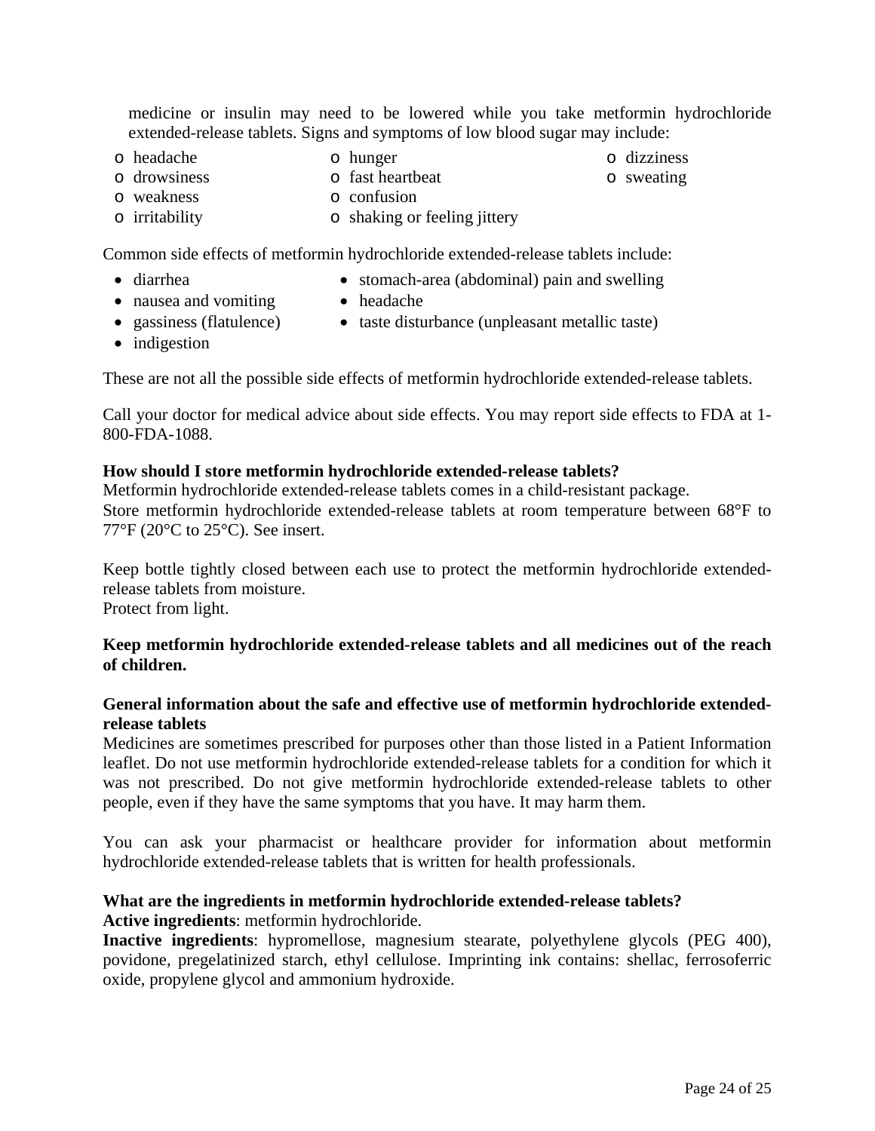medicine or insulin may need to be lowered while you take metformin hydrochloride extended-release tablets. Signs and symptoms of low blood sugar may include:

o headache o hunger o dizziness o dizziness o dizziness o dizziness o dizziness o dizziness o dizziness o dizziness o dizziness o dizziness o dizziness o dizziness o dizziness o dizziness o dizziness o dizziness o dizzines  $\circ$  fast heartbeat  $\circ$  confusion o weakness<br>o irritability o shaking or feeling jittery

Common side effects of metformin hydrochloride extended-release tablets include:

- diarrhea stomach-area (abdominal) pain and swelling
- nausea and vomiting headache
- 
- gassiness (flatulence) taste disturbance (unpleasant metallic taste)
- indigestion

These are not all the possible side effects of metformin hydrochloride extended-release tablets.

Call your doctor for medical advice about side effects. You may report side effects to FDA at 1- 800-FDA-1088.

#### **How should I store metformin hydrochloride extended-release tablets?**

Metformin hydrochloride extended-release tablets comes in a child-resistant package. Store metformin hydrochloride extended-release tablets at room temperature between 68°F to 77°F (20°C to 25°C). See insert.

Keep bottle tightly closed between each use to protect the metformin hydrochloride extendedrelease tablets from moisture. Protect from light.

### **Keep metformin hydrochloride extended-release tablets and all medicines out of the reach of children.**

#### **General information about the safe and effective use of metformin hydrochloride extendedrelease tablets**

Medicines are sometimes prescribed for purposes other than those listed in a Patient Information leaflet. Do not use metformin hydrochloride extended-release tablets for a condition for which it was not prescribed. Do not give metformin hydrochloride extended-release tablets to other people, even if they have the same symptoms that you have. It may harm them.

You can ask your pharmacist or healthcare provider for information about metformin hydrochloride extended-release tablets that is written for health professionals.

#### **What are the ingredients in metformin hydrochloride extended-release tablets? Active ingredients**: metformin hydrochloride.

**Inactive ingredients**: hypromellose, magnesium stearate, polyethylene glycols (PEG 400), povidone, pregelatinized starch, ethyl cellulose. Imprinting ink contains: shellac, ferrosoferric oxide, propylene glycol and ammonium hydroxide.